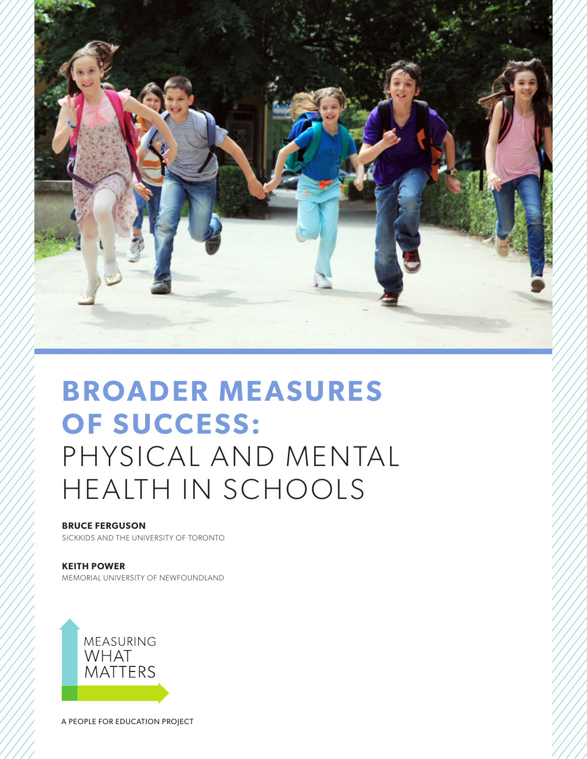

# **BROADER MEASURES OF SUCCESS:**  PHYSICAL AND MENTAL HEALTH IN SCHOOLS

# **BRUCE FERGUSON**

SICKKIDS AND THE UNIVERSITY OF TORONTO

# **KEITH POWER**

MEMORIAL UNIVERSITY OF NEWFOUNDLAND



A PEOPLE FOR EDUCATION PROJECT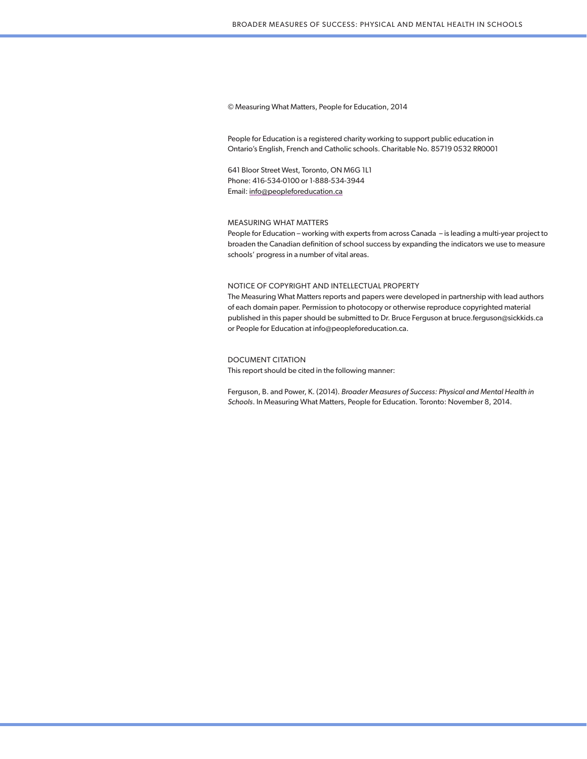© Measuring What Matters, People for Education, 2014

People for Education is a registered charity working to support public education in Ontario's English, French and Catholic schools. Charitable No. 85719 0532 RR0001

641 Bloor Street West, Toronto, ON M6G 1L1 Phone: 416-534-0100 or 1-888-534-3944 Email: info@peopleforeducation.ca

#### MEASURING WHAT MATTERS

People for Education – working with experts from across Canada – is leading a multi-year project to broaden the Canadian definition of school success by expanding the indicators we use to measure schools' progress in a number of vital areas.

#### NOTICE OF COPYRIGHT AND INTELLECTUAL PROPERTY

The Measuring What Matters reports and papers were developed in partnership with lead authors of each domain paper. Permission to photocopy or otherwise reproduce copyrighted material published in this paper should be submitted to Dr. Bruce Ferguson at bruce.ferguson@sickkids.ca or People for Education at info@peopleforeducation.ca.

#### DOCUMENT CITATION

This report should be cited in the following manner:

Ferguson, B. and Power, K. (2014). *Broader Measures of Success: Physical and Mental Health in Schools*. In Measuring What Matters, People for Education. Toronto: November 8, 2014.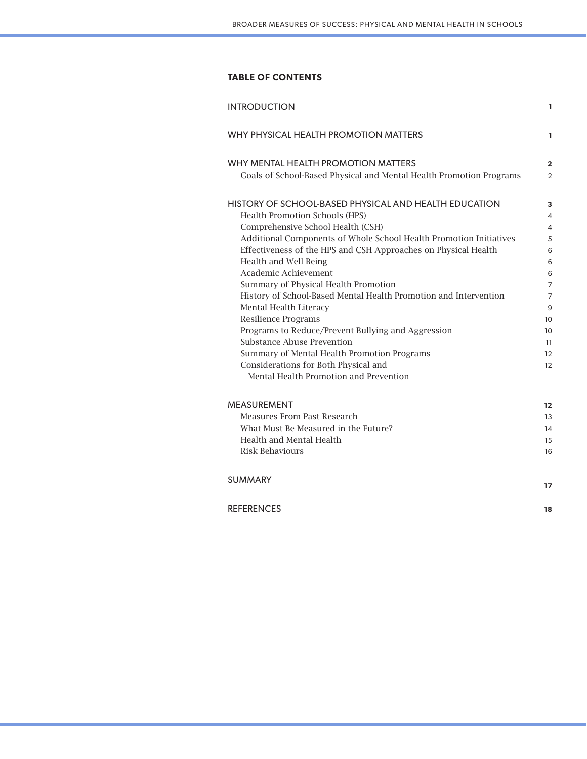# **TABLE OF CONTENTS**

| <b>INTRODUCTION</b>                                                                        | 1              |
|--------------------------------------------------------------------------------------------|----------------|
| WHY PHYSICAL HEALTH PROMOTION MATTERS                                                      | ı              |
| WHY MENTAL HEALTH PROMOTION MATTERS                                                        | $\overline{a}$ |
| Goals of School-Based Physical and Mental Health Promotion Programs                        | $\overline{2}$ |
| HISTORY OF SCHOOL-BASED PHYSICAL AND HEALTH EDUCATION                                      | 3              |
| Health Promotion Schools (HPS)                                                             | 4              |
| Comprehensive School Health (CSH)                                                          | 4              |
| Additional Components of Whole School Health Promotion Initiatives                         | 5              |
| Effectiveness of the HPS and CSH Approaches on Physical Health                             | 6              |
| Health and Well Being                                                                      | 6              |
| Academic Achievement                                                                       | 6              |
| Summary of Physical Health Promotion                                                       | 7              |
| History of School-Based Mental Health Promotion and Intervention<br>Mental Health Literacy | 7<br>9         |
| <b>Resilience Programs</b>                                                                 | 10             |
| Programs to Reduce/Prevent Bullying and Aggression                                         | 10             |
| Substance Abuse Prevention                                                                 | 11             |
| Summary of Mental Health Promotion Programs                                                | 12             |
| Considerations for Both Physical and                                                       | 12             |
| Mental Health Promotion and Prevention                                                     |                |
| <b>MEASUREMENT</b>                                                                         | 12             |
| Measures From Past Research                                                                | 13             |
| What Must Be Measured in the Future?                                                       | 14             |
| Health and Mental Health                                                                   | 15             |
| <b>Risk Behaviours</b>                                                                     | 16             |
| <b>SUMMARY</b>                                                                             | 17             |
| <b>REFERENCES</b>                                                                          | 18             |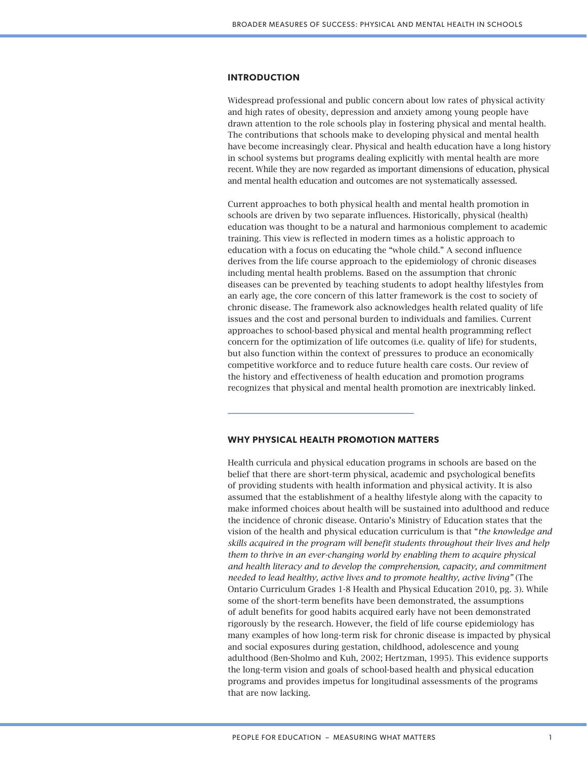#### **INTRODUCTION**

Widespread professional and public concern about low rates of physical activity and high rates of obesity, depression and anxiety among young people have drawn attention to the role schools play in fostering physical and mental health. The contributions that schools make to developing physical and mental health have become increasingly clear. Physical and health education have a long history in school systems but programs dealing explicitly with mental health are more recent. While they are now regarded as important dimensions of education, physical and mental health education and outcomes are not systematically assessed.

Current approaches to both physical health and mental health promotion in schools are driven by two separate influences. Historically, physical (health) education was thought to be a natural and harmonious complement to academic training. This view is reflected in modern times as a holistic approach to education with a focus on educating the "whole child." A second influence derives from the life course approach to the epidemiology of chronic diseases including mental health problems. Based on the assumption that chronic diseases can be prevented by teaching students to adopt healthy lifestyles from an early age, the core concern of this latter framework is the cost to society of chronic disease. The framework also acknowledges health related quality of life issues and the cost and personal burden to individuals and families. Current approaches to school-based physical and mental health programming reflect concern for the optimization of life outcomes (i.e. quality of life) for students, but also function within the context of pressures to produce an economically competitive workforce and to reduce future health care costs. Our review of the history and effectiveness of health education and promotion programs recognizes that physical and mental health promotion are inextricably linked.

## **WHY PHYSICAL HEALTH PROMOTION MATTERS**

Health curricula and physical education programs in schools are based on the belief that there are short-term physical, academic and psychological benefits of providing students with health information and physical activity. It is also assumed that the establishment of a healthy lifestyle along with the capacity to make informed choices about health will be sustained into adulthood and reduce the incidence of chronic disease. Ontario's Ministry of Education states that the vision of the health and physical education curriculum is that "*the knowledge and skills acquired in the program will benefit students throughout their lives and help them to thrive in an ever-changing world by enabling them to acquire physical and health literacy and to develop the comprehension, capacity, and commitment needed to lead healthy, active lives and to promote healthy, active living"* (The Ontario Curriculum Grades 1-8 Health and Physical Education 2010, pg. 3). While some of the short-term benefits have been demonstrated, the assumptions of adult benefits for good habits acquired early have not been demonstrated rigorously by the research. However, the field of life course epidemiology has many examples of how long-term risk for chronic disease is impacted by physical and social exposures during gestation, childhood, adolescence and young adulthood (Ben-Sholmo and Kuh, 2002; Hertzman, 1995). This evidence supports the long-term vision and goals of school-based health and physical education programs and provides impetus for longitudinal assessments of the programs that are now lacking.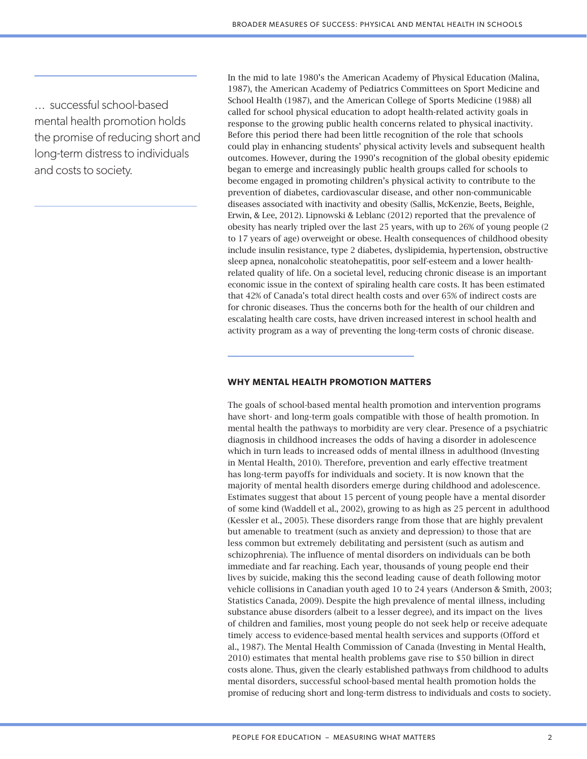... successful school-based mental health promotion holds the promise of reducing short and long-term distress to individuals and costs to society.

In the mid to late 1980's the American Academy of Physical Education (Malina, 1987), the American Academy of Pediatrics Committees on Sport Medicine and School Health (1987), and the American College of Sports Medicine (1988) all called for school physical education to adopt health-related activity goals in response to the growing public health concerns related to physical inactivity. Before this period there had been little recognition of the role that schools could play in enhancing students' physical activity levels and subsequent health outcomes. However, during the 1990's recognition of the global obesity epidemic began to emerge and increasingly public health groups called for schools to become engaged in promoting children's physical activity to contribute to the prevention of diabetes, cardiovascular disease, and other non-communicable diseases associated with inactivity and obesity (Sallis, McKenzie, Beets, Beighle, Erwin, & Lee, 2012). Lipnowski & Leblanc (2012) reported that the prevalence of obesity has nearly tripled over the last 25 years, with up to 26% of young people (2 to 17 years of age) overweight or obese. Health consequences of childhood obesity include insulin resistance, type 2 diabetes, dyslipidemia, hypertension, obstructive sleep apnea, nonalcoholic steatohepatitis, poor self-esteem and a lower healthrelated quality of life. On a societal level, reducing chronic disease is an important economic issue in the context of spiraling health care costs. It has been estimated that 42% of Canada's total direct health costs and over 65% of indirect costs are for chronic diseases. Thus the concerns both for the health of our children and escalating health care costs, have driven increased interest in school health and activity program as a way of preventing the long-term costs of chronic disease.

## **WHY MENTAL HEALTH PROMOTION MATTERS**

The goals of school-based mental health promotion and intervention programs have short- and long-term goals compatible with those of health promotion. In mental health the pathways to morbidity are very clear. Presence of a psychiatric diagnosis in childhood increases the odds of having a disorder in adolescence which in turn leads to increased odds of mental illness in adulthood (Investing in Mental Health, 2010). Therefore, prevention and early effective treatment has long-term payoffs for individuals and society. It is now known that the majority of mental health disorders emerge during childhood and adolescence. Estimates suggest that about 15 percent of young people have a mental disorder of some kind (Waddell et al., 2002), growing to as high as 25 percent in adulthood (Kessler et al., 2005). These disorders range from those that are highly prevalent but amenable to treatment (such as anxiety and depression) to those that are less common but extremely debilitating and persistent (such as autism and schizophrenia). The influence of mental disorders on individuals can be both immediate and far reaching. Each year, thousands of young people end their lives by suicide, making this the second leading cause of death following motor vehicle collisions in Canadian youth aged 10 to 24 years (Anderson & Smith, 2003; Statistics Canada, 2009). Despite the high prevalence of mental illness, including substance abuse disorders (albeit to a lesser degree), and its impact on the lives of children and families, most young people do not seek help or receive adequate timely access to evidence-based mental health services and supports (Offord et al., 1987). The Mental Health Commission of Canada (Investing in Mental Health, 2010) estimates that mental health problems gave rise to \$50 billion in direct costs alone. Thus, given the clearly established pathways from childhood to adults mental disorders, successful school-based mental health promotion holds the promise of reducing short and long-term distress to individuals and costs to society.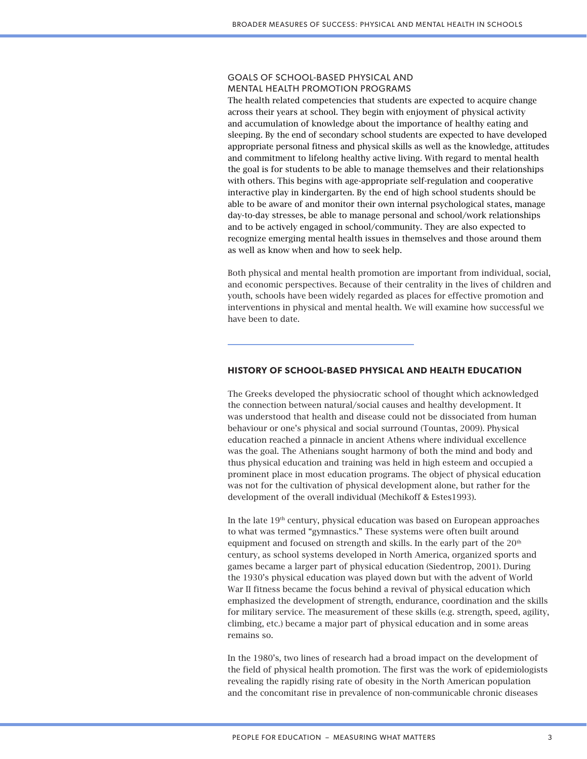## GOALS OF SCHOOL-BASED PHYSICAL AND MENTAL HEALTH PROMOTION PROGRAMS

The health related competencies that students are expected to acquire change across their years at school. They begin with enjoyment of physical activity and accumulation of knowledge about the importance of healthy eating and sleeping. By the end of secondary school students are expected to have developed appropriate personal fitness and physical skills as well as the knowledge, attitudes and commitment to lifelong healthy active living. With regard to mental health the goal is for students to be able to manage themselves and their relationships with others. This begins with age-appropriate self-regulation and cooperative interactive play in kindergarten. By the end of high school students should be able to be aware of and monitor their own internal psychological states, manage day-to-day stresses, be able to manage personal and school/work relationships and to be actively engaged in school/community. They are also expected to recognize emerging mental health issues in themselves and those around them as well as know when and how to seek help.

Both physical and mental health promotion are important from individual, social, and economic perspectives. Because of their centrality in the lives of children and youth, schools have been widely regarded as places for effective promotion and interventions in physical and mental health. We will examine how successful we have been to date.

# **HISTORY OF SCHOOL-BASED PHYSICAL AND HEALTH EDUCATION**

The Greeks developed the physiocratic school of thought which acknowledged the connection between natural/social causes and healthy development. It was understood that health and disease could not be dissociated from human behaviour or one's physical and social surround (Tountas, 2009). Physical education reached a pinnacle in ancient Athens where individual excellence was the goal. The Athenians sought harmony of both the mind and body and thus physical education and training was held in high esteem and occupied a prominent place in most education programs. The object of physical education was not for the cultivation of physical development alone, but rather for the development of the overall individual (Mechikoff & Estes1993).

In the late 19<sup>th</sup> century, physical education was based on European approaches to what was termed "gymnastics." These systems were often built around equipment and focused on strength and skills. In the early part of the 20<sup>th</sup> century, as school systems developed in North America, organized sports and games became a larger part of physical education (Siedentrop, 2001). During the 1930's physical education was played down but with the advent of World War II fitness became the focus behind a revival of physical education which emphasized the development of strength, endurance, coordination and the skills for military service. The measurement of these skills (e.g. strength, speed, agility, climbing, etc.) became a major part of physical education and in some areas remains so.

In the 1980's, two lines of research had a broad impact on the development of the field of physical health promotion. The first was the work of epidemiologists revealing the rapidly rising rate of obesity in the North American population and the concomitant rise in prevalence of non-communicable chronic diseases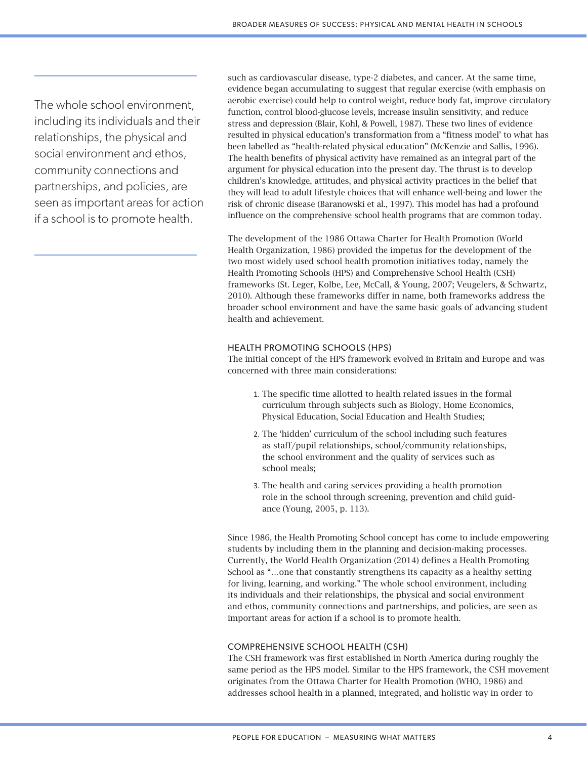The whole school environment, including its individuals and their relationships, the physical and social environment and ethos, community connections and partnerships, and policies, are seen as important areas for action if a school is to promote health.

such as cardiovascular disease, type-2 diabetes, and cancer. At the same time, evidence began accumulating to suggest that regular exercise (with emphasis on aerobic exercise) could help to control weight, reduce body fat, improve circulatory function, control blood-glucose levels, increase insulin sensitivity, and reduce stress and depression (Blair, Kohl, & Powell, 1987). These two lines of evidence resulted in physical education's transformation from a "fitness model' to what has been labelled as "health-related physical education" (McKenzie and Sallis, 1996). The health benefits of physical activity have remained as an integral part of the argument for physical education into the present day. The thrust is to develop children's knowledge, attitudes, and physical activity practices in the belief that they will lead to adult lifestyle choices that will enhance well-being and lower the risk of chronic disease (Baranowski et al., 1997). This model has had a profound influence on the comprehensive school health programs that are common today.

The development of the 1986 Ottawa Charter for Health Promotion (World Health Organization, 1986) provided the impetus for the development of the two most widely used school health promotion initiatives today, namely the Health Promoting Schools (HPS) and Comprehensive School Health (CSH) frameworks (St. Leger, Kolbe, Lee, McCall, & Young, 2007; Veugelers, & Schwartz, 2010). Although these frameworks differ in name, both frameworks address the broader school environment and have the same basic goals of advancing student health and achievement.

## HEALTH PROMOTING SCHOOLS (HPS)

The initial concept of the HPS framework evolved in Britain and Europe and was concerned with three main considerations:

- 1. The specific time allotted to health related issues in the formal curriculum through subjects such as Biology, Home Economics, Physical Education, Social Education and Health Studies;
- 2. The 'hidden' curriculum of the school including such features as staff/pupil relationships, school/community relationships, the school environment and the quality of services such as school meals;
- 3. The health and caring services providing a health promotion role in the school through screening, prevention and child guidance (Young, 2005, p. 113).

Since 1986, the Health Promoting School concept has come to include empowering students by including them in the planning and decision-making processes. Currently, the World Health Organization (2014) defines a Health Promoting School as "…one that constantly strengthens its capacity as a healthy setting for living, learning, and working." The whole school environment, including its individuals and their relationships, the physical and social environment and ethos, community connections and partnerships, and policies, are seen as important areas for action if a school is to promote health.

## COMPREHENSIVE SCHOOL HEALTH (CSH)

The CSH framework was first established in North America during roughly the same period as the HPS model. Similar to the HPS framework, the CSH movement originates from the Ottawa Charter for Health Promotion (WHO, 1986) and addresses school health in a planned, integrated, and holistic way in order to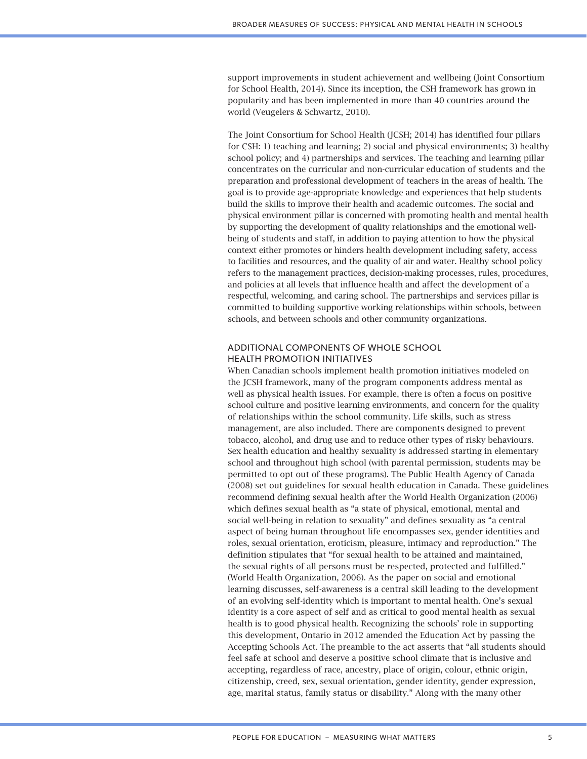support improvements in student achievement and wellbeing (Joint Consortium for School Health, 2014). Since its inception, the CSH framework has grown in popularity and has been implemented in more than 40 countries around the world (Veugelers & Schwartz, 2010).

The Joint Consortium for School Health (JCSH; 2014) has identified four pillars for CSH: 1) teaching and learning; 2) social and physical environments; 3) healthy school policy; and 4) partnerships and services. The teaching and learning pillar concentrates on the curricular and non-curricular education of students and the preparation and professional development of teachers in the areas of health. The goal is to provide age-appropriate knowledge and experiences that help students build the skills to improve their health and academic outcomes. The social and physical environment pillar is concerned with promoting health and mental health by supporting the development of quality relationships and the emotional wellbeing of students and staff, in addition to paying attention to how the physical context either promotes or hinders health development including safety, access to facilities and resources, and the quality of air and water. Healthy school policy refers to the management practices, decision-making processes, rules, procedures, and policies at all levels that influence health and affect the development of a respectful, welcoming, and caring school. The partnerships and services pillar is committed to building supportive working relationships within schools, between schools, and between schools and other community organizations.

# ADDITIONAL COMPONENTS OF WHOLE SCHOOL HEALTH PROMOTION INITIATIVES

When Canadian schools implement health promotion initiatives modeled on the JCSH framework, many of the program components address mental as well as physical health issues. For example, there is often a focus on positive school culture and positive learning environments, and concern for the quality of relationships within the school community. Life skills, such as stress management, are also included. There are components designed to prevent tobacco, alcohol, and drug use and to reduce other types of risky behaviours. Sex health education and healthy sexuality is addressed starting in elementary school and throughout high school (with parental permission, students may be permitted to opt out of these programs). The Public Health Agency of Canada (2008) set out guidelines for sexual health education in Canada. These guidelines recommend defining sexual health after the World Health Organization (2006) which defines sexual health as "a state of physical, emotional, mental and social well-being in relation to sexuality" and defines sexuality as "a central aspect of being human throughout life encompasses sex, gender identities and roles, sexual orientation, eroticism, pleasure, intimacy and reproduction." The definition stipulates that "for sexual health to be attained and maintained, the sexual rights of all persons must be respected, protected and fulfilled." (World Health Organization, 2006). As the paper on social and emotional learning discusses, self-awareness is a central skill leading to the development of an evolving self-identity which is important to mental health. One's sexual identity is a core aspect of self and as critical to good mental health as sexual health is to good physical health. Recognizing the schools' role in supporting this development, Ontario in 2012 amended the Education Act by passing the Accepting Schools Act. The preamble to the act asserts that "all students should feel safe at school and deserve a positive school climate that is inclusive and accepting, regardless of race, ancestry, place of origin, colour, ethnic origin, citizenship, creed, sex, sexual orientation, gender identity, gender expression, age, marital status, family status or disability." Along with the many other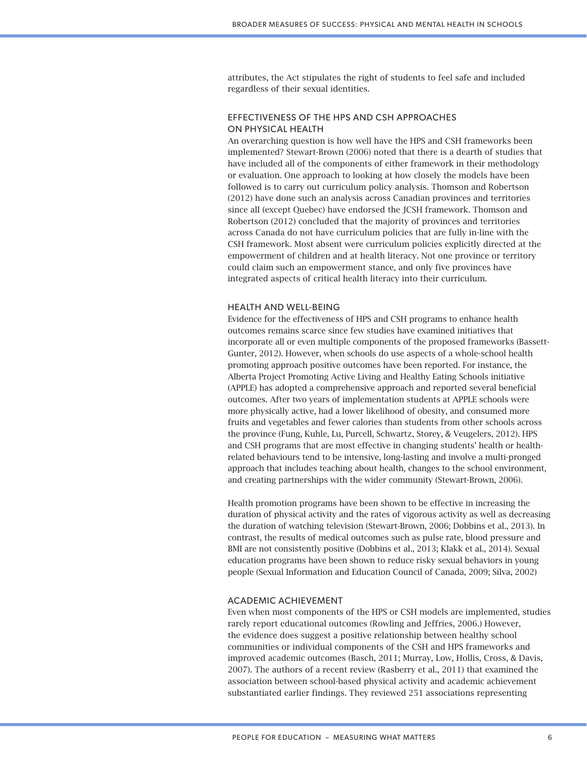attributes, the Act stipulates the right of students to feel safe and included regardless of their sexual identities.

# EFFECTIVENESS OF THE HPS AND CSH APPROACHES ON PHYSICAL HEALTH

An overarching question is how well have the HPS and CSH frameworks been implemented? Stewart-Brown (2006) noted that there is a dearth of studies that have included all of the components of either framework in their methodology or evaluation. One approach to looking at how closely the models have been followed is to carry out curriculum policy analysis. Thomson and Robertson (2012) have done such an analysis across Canadian provinces and territories since all (except Quebec) have endorsed the JCSH framework. Thomson and Robertson (2012) concluded that the majority of provinces and territories across Canada do not have curriculum policies that are fully in-line with the CSH framework. Most absent were curriculum policies explicitly directed at the empowerment of children and at health literacy. Not one province or territory could claim such an empowerment stance, and only five provinces have integrated aspects of critical health literacy into their curriculum.

#### HEALTH AND WELL-BEING

Evidence for the effectiveness of HPS and CSH programs to enhance health outcomes remains scarce since few studies have examined initiatives that incorporate all or even multiple components of the proposed frameworks (Bassett-Gunter, 2012). However, when schools do use aspects of a whole-school health promoting approach positive outcomes have been reported. For instance, the Alberta Project Promoting Active Living and Healthy Eating Schools initiative (APPLE) has adopted a comprehensive approach and reported several beneficial outcomes. After two years of implementation students at APPLE schools were more physically active, had a lower likelihood of obesity, and consumed more fruits and vegetables and fewer calories than students from other schools across the province (Fung, Kuhle, Lu, Purcell, Schwartz, Storey, & Veugelers, 2012). HPS and CSH programs that are most effective in changing students' health or healthrelated behaviours tend to be intensive, long-lasting and involve a multi-pronged approach that includes teaching about health, changes to the school environment, and creating partnerships with the wider community (Stewart-Brown, 2006).

Health promotion programs have been shown to be effective in increasing the duration of physical activity and the rates of vigorous activity as well as decreasing the duration of watching television (Stewart-Brown, 2006; Dobbins et al., 2013). In contrast, the results of medical outcomes such as pulse rate, blood pressure and BMI are not consistently positive (Dobbins et al., 2013; Klakk et al., 2014). Sexual education programs have been shown to reduce risky sexual behaviors in young people (Sexual Information and Education Council of Canada, 2009; Silva, 2002)

## ACADEMIC ACHIEVEMENT

Even when most components of the HPS or CSH models are implemented, studies rarely report educational outcomes (Rowling and Jeffries, 2006.) However, the evidence does suggest a positive relationship between healthy school communities or individual components of the CSH and HPS frameworks and improved academic outcomes (Basch, 2011; Murray, Low, Hollis, Cross, & Davis, 2007). The authors of a recent review (Rasberry et al., 2011) that examined the association between school-based physical activity and academic achievement substantiated earlier findings. They reviewed 251 associations representing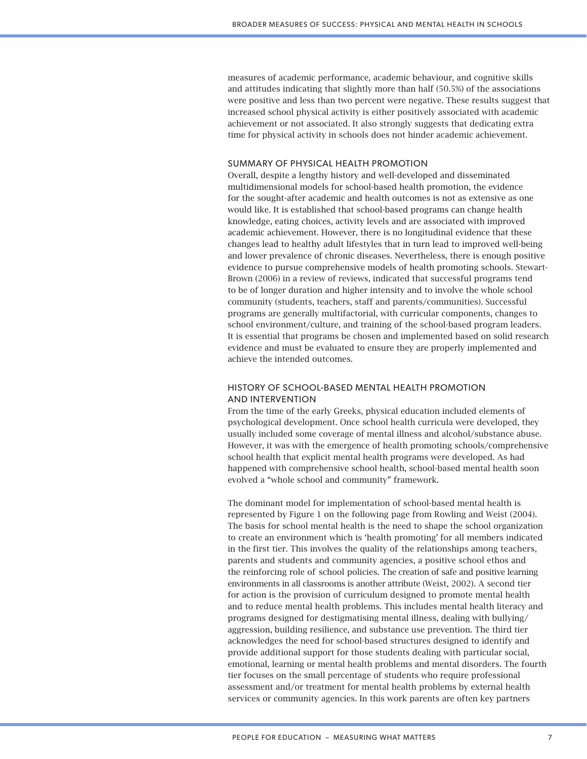measures of academic performance, academic behaviour, and cognitive skills and attitudes indicating that slightly more than half (50.5%) of the associations were positive and less than two percent were negative. These results suggest that increased school physical activity is either positively associated with academic achievement or not associated. It also strongly suggests that dedicating extra time for physical activity in schools does not hinder academic achievement.

## SUMMARY OF PHYSICAL HEALTH PROMOTION

Overall, despite a lengthy history and well-developed and disseminated multidimensional models for school-based health promotion, the evidence for the sought-after academic and health outcomes is not as extensive as one would like. It is established that school-based programs can change health knowledge, eating choices, activity levels and are associated with improved academic achievement. However, there is no longitudinal evidence that these changes lead to healthy adult lifestyles that in turn lead to improved well-being and lower prevalence of chronic diseases. Nevertheless, there is enough positive evidence to pursue comprehensive models of health promoting schools. Stewart-Brown (2006) in a review of reviews, indicated that successful programs tend to be of longer duration and higher intensity and to involve the whole school community (students, teachers, staff and parents/communities). Successful programs are generally multifactorial, with curricular components, changes to school environment/culture, and training of the school-based program leaders. It is essential that programs be chosen and implemented based on solid research evidence and must be evaluated to ensure they are properly implemented and achieve the intended outcomes.

## HISTORY OF SCHOOL-BASED MENTAL HEALTH PROMOTION AND INTERVENTION

From the time of the early Greeks, physical education included elements of psychological development. Once school health curricula were developed, they usually included some coverage of mental illness and alcohol/substance abuse. However, it was with the emergence of health promoting schools/comprehensive school health that explicit mental health programs were developed. As had happened with comprehensive school health, school-based mental health soon evolved a "whole school and community" framework.

The dominant model for implementation of school-based mental health is represented by Figure 1 on the following page from Rowling and Weist (2004). The basis for school mental health is the need to shape the school organization to create an environment which is 'health promoting' for all members indicated in the first tier. This involves the quality of the relationships among teachers, parents and students and community agencies, a positive school ethos and the reinforcing role of school policies. The creation of safe and positive learning environments in all classrooms is another attribute (Weist, 2002). A second tier for action is the provision of curriculum designed to promote mental health and to reduce mental health problems. This includes mental health literacy and programs designed for destigmatising mental illness, dealing with bullying/ aggression, building resilience, and substance use prevention. The third tier acknowledges the need for school-based structures designed to identify and provide additional support for those students dealing with particular social, emotional, learning or mental health problems and mental disorders. The fourth tier focuses on the small percentage of students who require professional assessment and/or treatment for mental health problems by external health services or community agencies. In this work parents are often key partners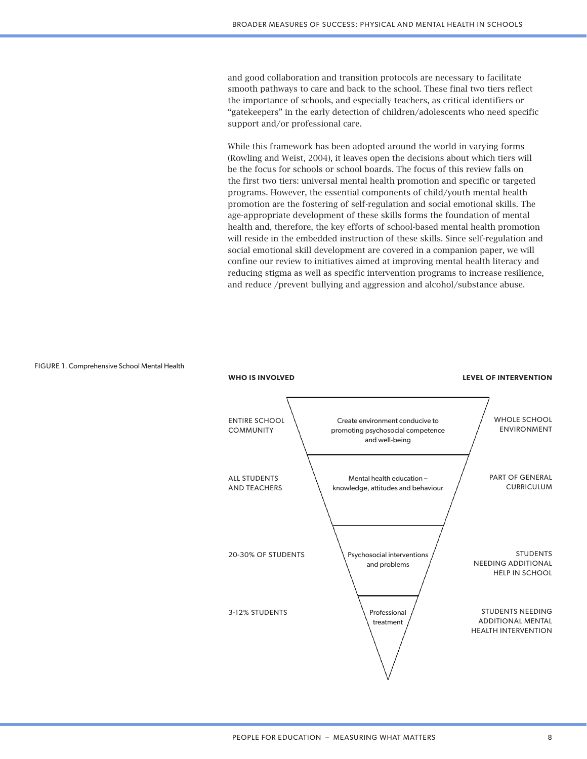and good collaboration and transition protocols are necessary to facilitate smooth pathways to care and back to the school. These final two tiers reflect the importance of schools, and especially teachers, as critical identifiers or "gatekeepers" in the early detection of children/adolescents who need specific support and/or professional care.

While this framework has been adopted around the world in varying forms (Rowling and Weist, 2004), it leaves open the decisions about which tiers will be the focus for schools or school boards. The focus of this review falls on the first two tiers: universal mental health promotion and specific or targeted programs. However, the essential components of child/youth mental health promotion are the fostering of self-regulation and social emotional skills. The age-appropriate development of these skills forms the foundation of mental health and, therefore, the key efforts of school-based mental health promotion will reside in the embedded instruction of these skills. Since self-regulation and social emotional skill development are covered in a companion paper, we will confine our review to initiatives aimed at improving mental health literacy and reducing stigma as well as specific intervention programs to increase resilience, and reduce /prevent bullying and aggression and alcohol/substance abuse.

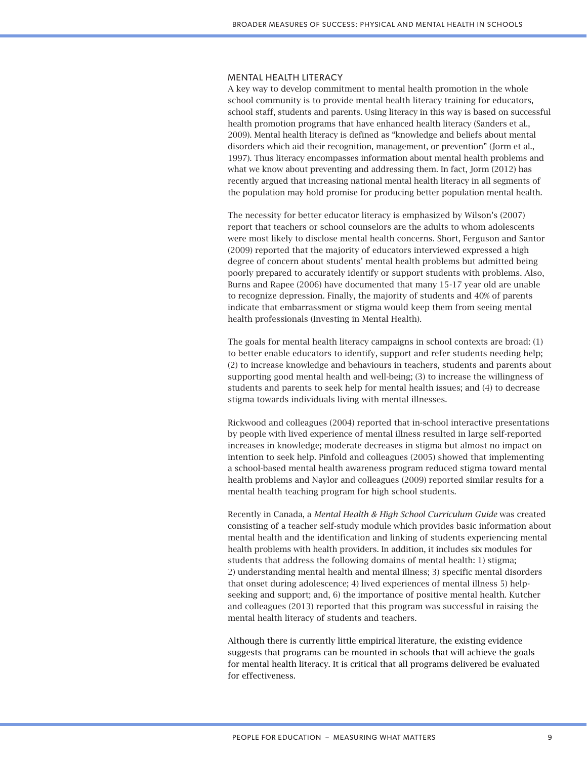#### MENTAL HEALTH LITERACY

A key way to develop commitment to mental health promotion in the whole school community is to provide mental health literacy training for educators, school staff, students and parents. Using literacy in this way is based on successful health promotion programs that have enhanced health literacy (Sanders et al., 2009). Mental health literacy is defined as "knowledge and beliefs about mental disorders which aid their recognition, management, or prevention" (Jorm et al., 1997). Thus literacy encompasses information about mental health problems and what we know about preventing and addressing them. In fact, Jorm (2012) has recently argued that increasing national mental health literacy in all segments of the population may hold promise for producing better population mental health.

The necessity for better educator literacy is emphasized by Wilson's (2007) report that teachers or school counselors are the adults to whom adolescents were most likely to disclose mental health concerns. Short, Ferguson and Santor (2009) reported that the majority of educators interviewed expressed a high degree of concern about students' mental health problems but admitted being poorly prepared to accurately identify or support students with problems. Also, Burns and Rapee (2006) have documented that many 15-17 year old are unable to recognize depression. Finally, the majority of students and 40% of parents indicate that embarrassment or stigma would keep them from seeing mental health professionals (Investing in Mental Health).

The goals for mental health literacy campaigns in school contexts are broad: (1) to better enable educators to identify, support and refer students needing help; (2) to increase knowledge and behaviours in teachers, students and parents about supporting good mental health and well-being; (3) to increase the willingness of students and parents to seek help for mental health issues; and (4) to decrease stigma towards individuals living with mental illnesses.

Rickwood and colleagues (2004) reported that in-school interactive presentations by people with lived experience of mental illness resulted in large self-reported increases in knowledge; moderate decreases in stigma but almost no impact on intention to seek help. Pinfold and colleagues (2005) showed that implementing a school-based mental health awareness program reduced stigma toward mental health problems and Naylor and colleagues (2009) reported similar results for a mental health teaching program for high school students.

Recently in Canada, a *Mental Health & High School Curriculum Guide* was created consisting of a teacher self-study module which provides basic information about mental health and the identification and linking of students experiencing mental health problems with health providers. In addition, it includes six modules for students that address the following domains of mental health: 1) stigma; 2) understanding mental health and mental illness; 3) specific mental disorders that onset during adolescence; 4) lived experiences of mental illness 5) helpseeking and support; and, 6) the importance of positive mental health. Kutcher and colleagues (2013) reported that this program was successful in raising the mental health literacy of students and teachers.

Although there is currently little empirical literature, the existing evidence suggests that programs can be mounted in schools that will achieve the goals for mental health literacy. It is critical that all programs delivered be evaluated for effectiveness.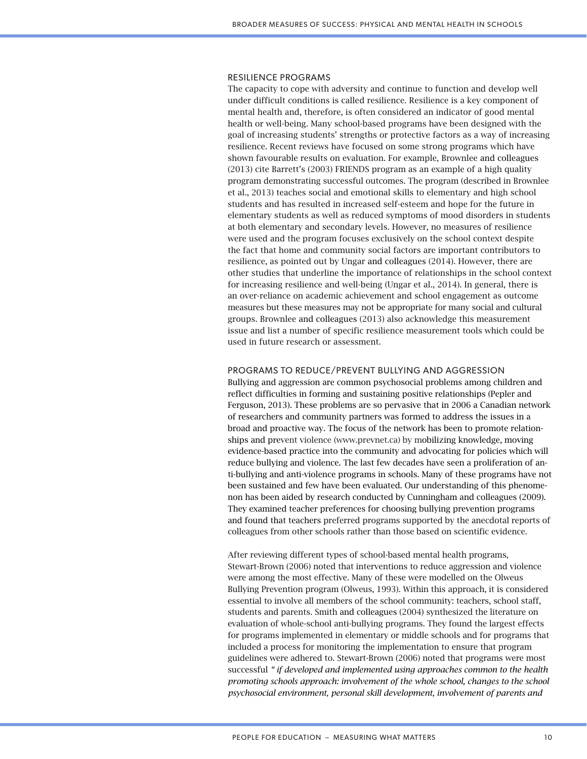#### RESILIENCE PROGRAMS

The capacity to cope with adversity and continue to function and develop well under difficult conditions is called resilience. Resilience is a key component of mental health and, therefore, is often considered an indicator of good mental health or well-being. Many school-based programs have been designed with the goal of increasing students' strengths or protective factors as a way of increasing resilience. Recent reviews have focused on some strong programs which have shown favourable results on evaluation. For example, Brownlee and colleagues (2013) cite Barrett's (2003) FRIENDS program as an example of a high quality program demonstrating successful outcomes. The program (described in Brownlee et al., 2013) teaches social and emotional skills to elementary and high school students and has resulted in increased self-esteem and hope for the future in elementary students as well as reduced symptoms of mood disorders in students at both elementary and secondary levels. However, no measures of resilience were used and the program focuses exclusively on the school context despite the fact that home and community social factors are important contributors to resilience, as pointed out by Ungar and colleagues (2014). However, there are other studies that underline the importance of relationships in the school context for increasing resilience and well-being (Ungar et al., 2014). In general, there is an over-reliance on academic achievement and school engagement as outcome measures but these measures may not be appropriate for many social and cultural groups. Brownlee and colleagues (2013) also acknowledge this measurement issue and list a number of specific resilience measurement tools which could be used in future research or assessment.

## PROGRAMS TO REDUCE/PREVENT BULLYING AND AGGRESSION

Bullying and aggression are common psychosocial problems among children and reflect difficulties in forming and sustaining positive relationships (Pepler and Ferguson, 2013). These problems are so pervasive that in 2006 a Canadian network of researchers and community partners was formed to address the issues in a broad and proactive way. The focus of the network has been to promote relationships and prevent violence (www.prevnet.ca) by mobilizing knowledge, moving evidence-based practice into the community and advocating for policies which will reduce bullying and violence. The last few decades have seen a proliferation of anti-bullying and anti-violence programs in schools. Many of these programs have not been sustained and few have been evaluated. Our understanding of this phenomenon has been aided by research conducted by Cunningham and colleagues (2009). They examined teacher preferences for choosing bullying prevention programs and found that teachers preferred programs supported by the anecdotal reports of colleagues from other schools rather than those based on scientific evidence.

After reviewing different types of school-based mental health programs, Stewart-Brown (2006) noted that interventions to reduce aggression and violence were among the most effective. Many of these were modelled on the Olweus Bullying Prevention program (Olweus, 1993). Within this approach, it is considered essential to involve all members of the school community: teachers, school staff, students and parents. Smith and colleagues (2004) synthesized the literature on evaluation of whole-school anti-bullying programs. They found the largest effects for programs implemented in elementary or middle schools and for programs that included a process for monitoring the implementation to ensure that program guidelines were adhered to. Stewart-Brown (2006) noted that programs were most successful *" if developed and implemented using approaches common to the health promoting schools approach: involvement of the whole school, changes to the school psychosocial environment, personal skill development, involvement of parents and*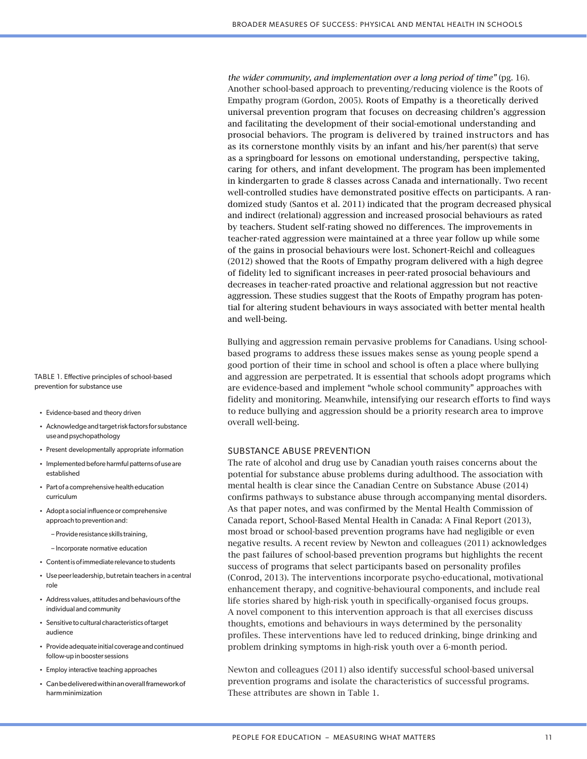*the wider community, and implementation over a long period of time"* (pg. 16). Another school-based approach to preventing/reducing violence is the Roots of Empathy program (Gordon, 2005). Roots of Empathy is a theoretically derived universal prevention program that focuses on decreasing children's aggression and facilitating the development of their social-emotional understanding and prosocial behaviors. The program is delivered by trained instructors and has as its cornerstone monthly visits by an infant and his/her parent(s) that serve as a springboard for lessons on emotional understanding, perspective taking, caring for others, and infant development. The program has been implemented in kindergarten to grade 8 classes across Canada and internationally. Two recent well-controlled studies have demonstrated positive effects on participants. A randomized study (Santos et al. 2011) indicated that the program decreased physical and indirect (relational) aggression and increased prosocial behaviours as rated by teachers. Student self-rating showed no differences. The improvements in teacher-rated aggression were maintained at a three year follow up while some of the gains in prosocial behaviours were lost. Schonert-Reichl and colleagues (2012) showed that the Roots of Empathy program delivered with a high degree of fidelity led to significant increases in peer-rated prosocial behaviours and decreases in teacher-rated proactive and relational aggression but not reactive aggression. These studies suggest that the Roots of Empathy program has potential for altering student behaviours in ways associated with better mental health and well-being.

Bullying and aggression remain pervasive problems for Canadians. Using schoolbased programs to address these issues makes sense as young people spend a good portion of their time in school and school is often a place where bullying and aggression are perpetrated. It is essential that schools adopt programs which are evidence-based and implement "whole school community" approaches with fidelity and monitoring. Meanwhile, intensifying our research efforts to find ways to reduce bullying and aggression should be a priority research area to improve overall well-being.

#### SUBSTANCE ABUSE PREVENTION

The rate of alcohol and drug use by Canadian youth raises concerns about the potential for substance abuse problems during adulthood. The association with mental health is clear since the Canadian Centre on Substance Abuse (2014) confirms pathways to substance abuse through accompanying mental disorders. As that paper notes, and was confirmed by the Mental Health Commission of Canada report, School-Based Mental Health in Canada: A Final Report (2013), most broad or school-based prevention programs have had negligible or even negative results. A recent review by Newton and colleagues (2011) acknowledges the past failures of school-based prevention programs but highlights the recent success of programs that select participants based on personality profiles (Conrod, 2013). The interventions incorporate psycho-educational, motivational enhancement therapy, and cognitive-behavioural components, and include real life stories shared by high-risk youth in specifically-organised focus groups. A novel component to this intervention approach is that all exercises discuss thoughts, emotions and behaviours in ways determined by the personality profiles. These interventions have led to reduced drinking, binge drinking and problem drinking symptoms in high-risk youth over a 6-month period.

Newton and colleagues (2011) also identify successful school-based universal prevention programs and isolate the characteristics of successful programs. These attributes are shown in Table 1.

TABLE 1. Effective principles of school-based prevention for substance use

- Evidence-based and theory driven
- Acknowledge and target risk factors for substance use and psychopathology
- Present developmentally appropriate information
- Implemented before harmful patterns of use are established
- Part of a comprehensive health education curriculum
- Adopt a social influence or comprehensive approach to prevention and:
	- Provide resistance skills training,
	- Incorporate normative education
- Content is of immediate relevance to students
- Use peer leadership, but retain teachers in a central role
- Address values, attitudes and behaviours of the individual and community
- Sensitive to cultural characteristics of target audience
- Provide adequate initial coverage and continued follow-up in booster sessions
- Employ interactive teaching approaches
- Can be delivered within an overall framework of harm minimization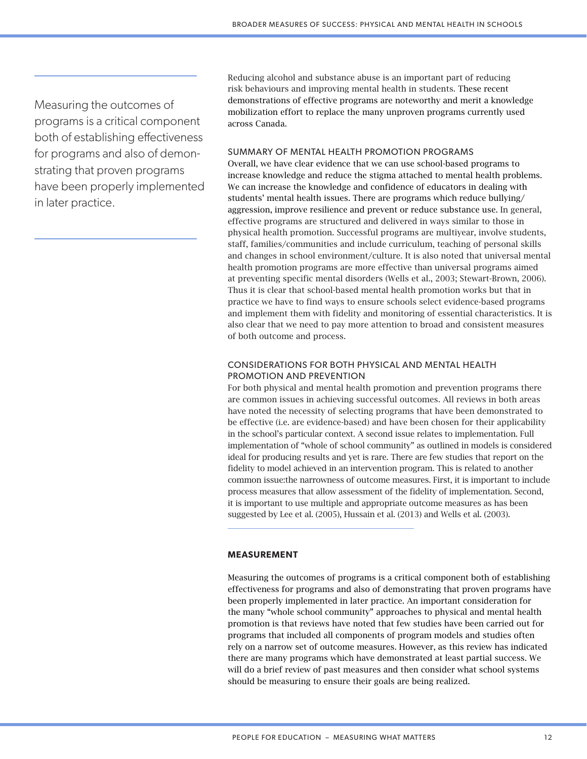Measuring the outcomes of programs is a critical component both of establishing effectiveness for programs and also of demonstrating that proven programs have been properly implemented in later practice.

Reducing alcohol and substance abuse is an important part of reducing risk behaviours and improving mental health in students. These recent demonstrations of effective programs are noteworthy and merit a knowledge mobilization effort to replace the many unproven programs currently used across Canada.

## SUMMARY OF MENTAL HEALTH PROMOTION PROGRAMS

Overall, we have clear evidence that we can use school-based programs to increase knowledge and reduce the stigma attached to mental health problems. We can increase the knowledge and confidence of educators in dealing with students' mental health issues. There are programs which reduce bullying/ aggression, improve resilience and prevent or reduce substance use. In general, effective programs are structured and delivered in ways similar to those in physical health promotion. Successful programs are multiyear, involve students, staff, families/communities and include curriculum, teaching of personal skills and changes in school environment/culture. It is also noted that universal mental health promotion programs are more effective than universal programs aimed at preventing specific mental disorders (Wells et al., 2003; Stewart-Brown, 2006). Thus it is clear that school-based mental health promotion works but that in practice we have to find ways to ensure schools select evidence-based programs and implement them with fidelity and monitoring of essential characteristics. It is also clear that we need to pay more attention to broad and consistent measures of both outcome and process.

# CONSIDERATIONS FOR BOTH PHYSICAL AND MENTAL HEALTH PROMOTION AND PREVENTION

For both physical and mental health promotion and prevention programs there are common issues in achieving successful outcomes. All reviews in both areas have noted the necessity of selecting programs that have been demonstrated to be effective (i.e. are evidence-based) and have been chosen for their applicability in the school's particular context. A second issue relates to implementation. Full implementation of "whole of school community" as outlined in models is considered ideal for producing results and yet is rare. There are few studies that report on the fidelity to model achieved in an intervention program. This is related to another common issue:the narrowness of outcome measures. First, it is important to include process measures that allow assessment of the fidelity of implementation. Second, it is important to use multiple and appropriate outcome measures as has been suggested by Lee et al. (2005), Hussain et al. (2013) and Wells et al. (2003).

## **MEASUREMENT**

Measuring the outcomes of programs is a critical component both of establishing effectiveness for programs and also of demonstrating that proven programs have been properly implemented in later practice. An important consideration for the many "whole school community" approaches to physical and mental health promotion is that reviews have noted that few studies have been carried out for programs that included all components of program models and studies often rely on a narrow set of outcome measures. However, as this review has indicated there are many programs which have demonstrated at least partial success. We will do a brief review of past measures and then consider what school systems should be measuring to ensure their goals are being realized.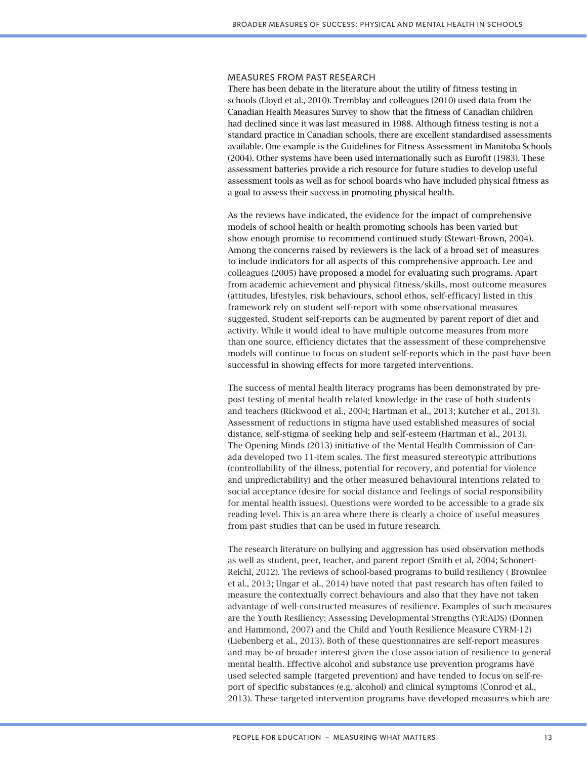#### MEASURES FROM PAST RESEARCH

There has been debate in the literature about the utility of fitness testing in schools (Lloyd et al., 2010). Tremblay and colleagues (2010) used data from the Canadian Health Measures Survey to show that the fitness of Canadian children had declined since it was last measured in 1988. Although fitness testing is not a standard practice in Canadian schools, there are excellent standardised assessments available. One example is the Guidelines for Fitness Assessment in Manitoba Schools (2004). Other systems have been used internationally such as Eurofit (1983). These assessment batteries provide a rich resource for future studies to develop useful assessment tools as well as for school boards who have included physical fitness as a goal to assess their success in promoting physical health.

As the reviews have indicated, the evidence for the impact of comprehensive models of school health or health promoting schools has been varied but show enough promise to recommend continued study (Stewart-Brown, 2004). Among the concerns raised by reviewers is the lack of a broad set of measures to include indicators for all aspects of this comprehensive approach. Lee and colleagues (2005) have proposed a model for evaluating such programs. Apart from academic achievement and physical fitness/skills, most outcome measures (attitudes, lifestyles, risk behaviours, school ethos, self-efficacy) listed in this framework rely on student self-report with some observational measures suggested. Student self-reports can be augmented by parent report of diet and activity. While it would ideal to have multiple outcome measures from more than one source, efficiency dictates that the assessment of these comprehensive models will continue to focus on student self-reports which in the past have been successful in showing effects for more targeted interventions.

The success of mental health literacy programs has been demonstrated by prepost testing of mental health related knowledge in the case of both students and teachers (Rickwood et al., 2004; Hartman et al., 2013; Kutcher et al., 2013). Assessment of reductions in stigma have used established measures of social distance, self-stigma of seeking help and self-esteem (Hartman et al., 2013). The Opening Minds (2013) initiative of the Mental Health Commission of Canada developed two 11-item scales. The first measured stereotypic attributions (controllability of the illness, potential for recovery, and potential for violence and unpredictability) and the other measured behavioural intentions related to social acceptance (desire for social distance and feelings of social responsibility for mental health issues). Questions were worded to be accessible to a grade six reading level. This is an area where there is clearly a choice of useful measures from past studies that can be used in future research.

The research literature on bullying and aggression has used observation methods as well as student, peer, teacher, and parent report (Smith et al, 2004; Schonert-Reichl, 2012). The reviews of school-based programs to build resiliency ( Brownlee et al., 2013; Ungar et al., 2014) have noted that past research has often failed to measure the contextually correct behaviours and also that they have not taken advantage of well-constructed measures of resilience. Examples of such measures are the Youth Resiliency: Assessing Developmental Strengths (YR:ADS) (Donnen and Hammond, 2007) and the Child and Youth Resilience Measure CYRM-12) (Liebenberg et al., 2013). Both of these questionnaires are self-report measures and may be of broader interest given the close association of resilience to general mental health. Effective alcohol and substance use prevention programs have used selected sample (targeted prevention) and have tended to focus on self-report of specific substances (e.g. alcohol) and clinical symptoms (Conrod et al., 2013). These targeted intervention programs have developed measures which are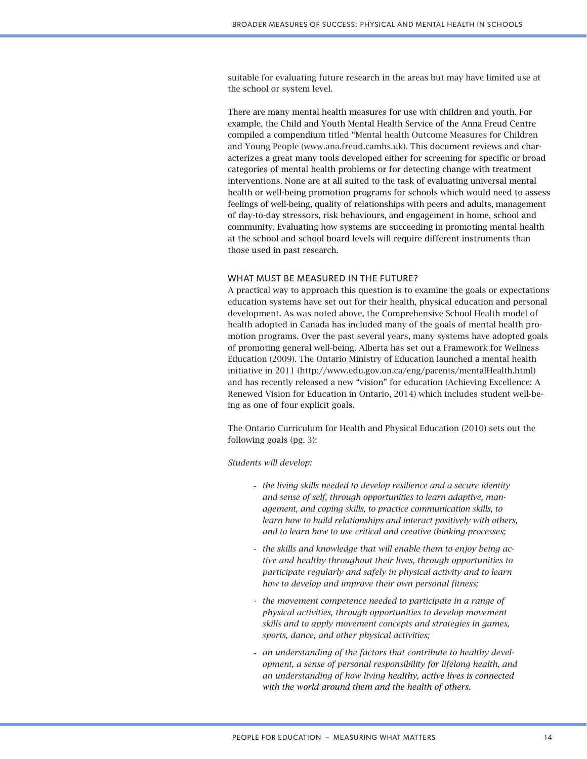suitable for evaluating future research in the areas but may have limited use at the school or system level.

There are many mental health measures for use with children and youth. For example, the Child and Youth Mental Health Service of the Anna Freud Centre compiled a compendium titled "Mental health Outcome Measures for Children and Young People (www.ana.freud.camhs.uk). This document reviews and characterizes a great many tools developed either for screening for specific or broad categories of mental health problems or for detecting change with treatment interventions. None are at all suited to the task of evaluating universal mental health or well-being promotion programs for schools which would need to assess feelings of well-being, quality of relationships with peers and adults, management of day-to-day stressors, risk behaviours, and engagement in home, school and community. Evaluating how systems are succeeding in promoting mental health at the school and school board levels will require different instruments than those used in past research.

### WHAT MUST BE MEASURED IN THE FUTURE?

A practical way to approach this question is to examine the goals or expectations education systems have set out for their health, physical education and personal development. As was noted above, the Comprehensive School Health model of health adopted in Canada has included many of the goals of mental health promotion programs. Over the past several years, many systems have adopted goals of promoting general well-being. Alberta has set out a Framework for Wellness Education (2009). The Ontario Ministry of Education launched a mental health initiative in 2011 (http://www.edu.gov.on.ca/eng/parents/mentalHealth.html) and has recently released a new "vision" for education (Achieving Excellence: A Renewed Vision for Education in Ontario, 2014) which includes student well-being as one of four explicit goals.

The Ontario Curriculum for Health and Physical Education (2010) sets out the following goals (pg. 3):

*Students will develop:*

- *the living skills needed to develop resilience and a secure identity and sense of self, through opportunities to learn adaptive, management, and coping skills, to practice communication skills, to learn how to build relationships and interact positively with others, and to learn how to use critical and creative thinking processes;*
- *the skills and knowledge that will enable them to enjoy being active and healthy throughout their lives, through opportunities to participate regularly and safely in physical activity and to learn how to develop and improve their own personal fitness;*
- *the movement competence needed to participate in a range of physical activities, through opportunities to develop movement skills and to apply movement concepts and strategies in games, sports, dance, and other physical activities;*
- *an understanding of the factors that contribute to healthy development, a sense of personal responsibility for lifelong health, and an understanding of how living healthy, active lives is connected with the world around them and the health of others*.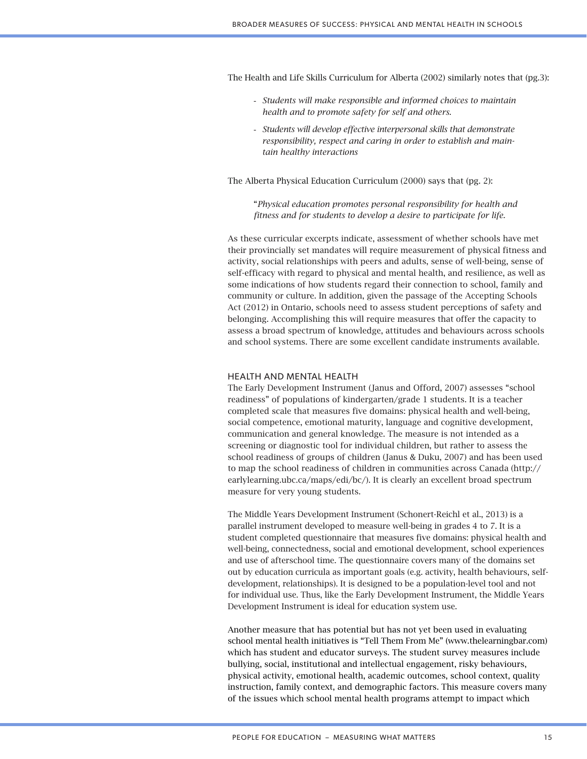The Health and Life Skills Curriculum for Alberta (2002) similarly notes that (pg.3):

- *Students will make responsible and informed choices to maintain health and to promote safety for self and others.*
- *Students will develop effective interpersonal skills that demonstrate responsibility, respect and caring in order to establish and maintain healthy interactions*

The Alberta Physical Education Curriculum (2000) says that (pg. 2):

"*Physical education promotes personal responsibility for health and fitness and for students to develop a desire to participate for life.*

As these curricular excerpts indicate, assessment of whether schools have met their provincially set mandates will require measurement of physical fitness and activity, social relationships with peers and adults, sense of well-being, sense of self-efficacy with regard to physical and mental health, and resilience, as well as some indications of how students regard their connection to school, family and community or culture. In addition, given the passage of the Accepting Schools Act (2012) in Ontario, schools need to assess student perceptions of safety and belonging. Accomplishing this will require measures that offer the capacity to assess a broad spectrum of knowledge, attitudes and behaviours across schools and school systems. There are some excellent candidate instruments available.

#### HEALTH AND MENTAL HEALTH

The Early Development Instrument (Janus and Offord, 2007) assesses "school readiness" of populations of kindergarten/grade 1 students. It is a teacher completed scale that measures five domains: physical health and well-being, social competence, emotional maturity, language and cognitive development, communication and general knowledge. The measure is not intended as a screening or diagnostic tool for individual children, but rather to assess the school readiness of groups of children (Janus & Duku, 2007) and has been used to map the school readiness of children in communities across Canada (http:// earlylearning.ubc.ca/maps/edi/bc/). It is clearly an excellent broad spectrum measure for very young students.

The Middle Years Development Instrument (Schonert-Reichl et al., 2013) is a parallel instrument developed to measure well-being in grades 4 to 7. It is a student completed questionnaire that measures five domains: physical health and well-being, connectedness, social and emotional development, school experiences and use of afterschool time. The questionnaire covers many of the domains set out by education curricula as important goals (e.g. activity, health behaviours, selfdevelopment, relationships). It is designed to be a population-level tool and not for individual use. Thus, like the Early Development Instrument, the Middle Years Development Instrument is ideal for education system use.

Another measure that has potential but has not yet been used in evaluating school mental health initiatives is "Tell Them From Me" (www.thelearningbar.com) which has student and educator surveys. The student survey measures include bullying, social, institutional and intellectual engagement, risky behaviours, physical activity, emotional health, academic outcomes, school context, quality instruction, family context, and demographic factors. This measure covers many of the issues which school mental health programs attempt to impact which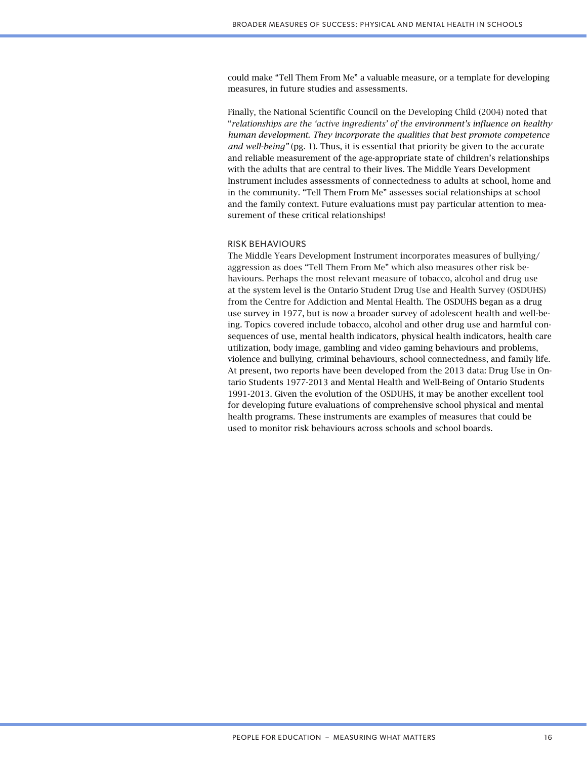could make "Tell Them From Me" a valuable measure, or a template for developing measures, in future studies and assessments.

Finally, the National Scientific Council on the Developing Child (2004) noted that "*relationships are the 'active ingredients' of the environment's influence on healthy human development. They incorporate the qualities that best promote competence and well-being"* (pg. 1). Thus, it is essential that priority be given to the accurate and reliable measurement of the age-appropriate state of children's relationships with the adults that are central to their lives. The Middle Years Development Instrument includes assessments of connectedness to adults at school, home and in the community. "Tell Them From Me" assesses social relationships at school and the family context. Future evaluations must pay particular attention to measurement of these critical relationships!

#### RISK BEHAVIOURS

The Middle Years Development Instrument incorporates measures of bullying/ aggression as does "Tell Them From Me" which also measures other risk behaviours. Perhaps the most relevant measure of tobacco, alcohol and drug use at the system level is the Ontario Student Drug Use and Health Survey (OSDUHS) from the Centre for Addiction and Mental Health. The OSDUHS began as a drug use survey in 1977, but is now a broader survey of adolescent health and well-being. Topics covered include tobacco, alcohol and other drug use and harmful consequences of use, mental health indicators, physical health indicators, health care utilization, body image, gambling and video gaming behaviours and problems, violence and bullying, criminal behaviours, school connectedness, and family life. At present, two reports have been developed from the 2013 data: Drug Use in Ontario Students 1977-2013 and Mental Health and Well-Being of Ontario Students 1991-2013. Given the evolution of the OSDUHS, it may be another excellent tool for developing future evaluations of comprehensive school physical and mental health programs. These instruments are examples of measures that could be used to monitor risk behaviours across schools and school boards.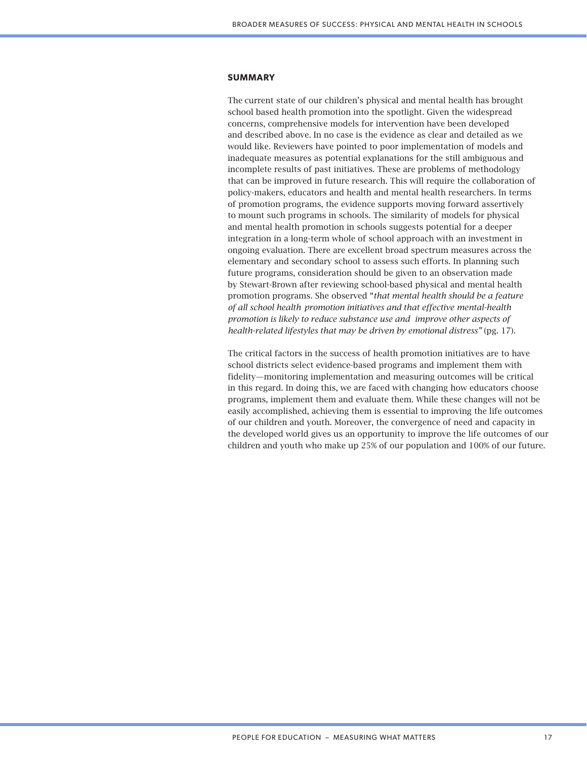#### **SUMMARY**

The current state of our children's physical and mental health has brought school based health promotion into the spotlight. Given the widespread concerns, comprehensive models for intervention have been developed and described above. In no case is the evidence as clear and detailed as we would like. Reviewers have pointed to poor implementation of models and inadequate measures as potential explanations for the still ambiguous and incomplete results of past initiatives. These are problems of methodology that can be improved in future research. This will require the collaboration of policy-makers, educators and health and mental health researchers. In terms of promotion programs, the evidence supports moving forward assertively to mount such programs in schools. The similarity of models for physical and mental health promotion in schools suggests potential for a deeper integration in a long-term whole of school approach with an investment in ongoing evaluation. There are excellent broad spectrum measures across the elementary and secondary school to assess such efforts. In planning such future programs, consideration should be given to an observation made by Stewart-Brown after reviewing school-based physical and mental health promotion programs. She observed "*that mental health should be a feature of all school health promotion initiatives and that effective mental-health promotion is likely to reduce substance use and improve other aspects of health-related lifestyles that may be driven by emotional distress"* (pg. 17).

The critical factors in the success of health promotion initiatives are to have school districts select evidence-based programs and implement them with fidelity—monitoring implementation and measuring outcomes will be critical in this regard. In doing this, we are faced with changing how educators choose programs, implement them and evaluate them. While these changes will not be easily accomplished, achieving them is essential to improving the life outcomes of our children and youth. Moreover, the convergence of need and capacity in the developed world gives us an opportunity to improve the life outcomes of our children and youth who make up 25% of our population and 100% of our future.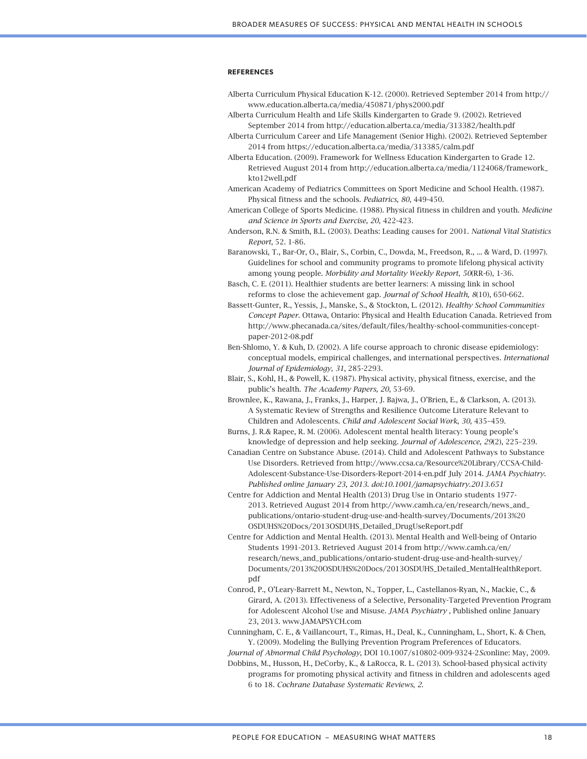#### **REFERENCES**

- Alberta Curriculum Physical Education K-12. (2000). Retrieved September 2014 from http:// www.education.alberta.ca/media/450871/phys2000.pdf
- Alberta Curriculum Health and Life Skills Kindergarten to Grade 9. (2002). Retrieved September 2014 from http://education.alberta.ca/media/313382/health.pdf
- Alberta Curriculum Career and Life Management (Senior High). (2002). Retrieved September 2014 from https://education.alberta.ca/media/313385/calm.pdf
- Alberta Education. (2009). Framework for Wellness Education Kindergarten to Grade 12. Retrieved August 2014 from http://education.alberta.ca/media/1124068/framework\_ kto12well.pdf
- American Academy of Pediatrics Committees on Sport Medicine and School Health. (1987). Physical fitness and the schools. *Pediatrics, 80*, 449-450.
- American College of Sports Medicine. (1988). Physical fitness in children and youth. *Medicine and Science in Sports and Exercise, 20*, 422-423.
- Anderson, R.N. & Smith, B.L. (2003). Deaths: Leading causes for 2001. *National Vital Statistics Report*, 52. 1-86.
- Baranowski, T., Bar-Or, O., Blair, S., Corbin, C., Dowda, M., Freedson, R., ... & Ward, D. (1997). Guidelines for school and community programs to promote lifelong physical activity among young people. *Morbidity and Mortality Weekly Report*, *50*(RR-6), 1-36.
- Basch, C. E. (2011). Healthier students are better learners: A missing link in school reforms to close the achievement gap. *Journal of School Health, 8*(10), 650-662.
- Bassett-Gunter, R., Yessis, J., Manske, S., & Stockton, L. (2012). *Healthy School Communities Concept Paper*. Ottawa, Ontario: Physical and Health Education Canada. Retrieved from http://www.phecanada.ca/sites/default/files/healthy-school-communities-conceptpaper-2012-08.pdf
- Ben-Shlomo, Y. & Kuh, D. (2002). A life course approach to chronic disease epidemiology: conceptual models, empirical challenges, and international perspectives. *International Journal of Epidemiology, 31*, 285-2293.
- Blair, S., Kohl, H., & Powell, K. (1987). Physical activity, physical fitness, exercise, and the public's health. *The Academy Papers, 20*, 53-69.
- Brownlee, K., Rawana, J., Franks, J., Harper, J. Bajwa, J., O'Brien, E., & Clarkson, A. (2013). A Systematic Review of Strengths and Resilience Outcome Literature Relevant to Children and Adolescents. *Child and Adolescent Social Work*, *30*, 435–459.
- Burns, J. R.& Rapee, R. M. (2006). Adolescent mental health literacy: Young people's knowledge of depression and help seeking. *Journal of Adolescence, 29*(2), 225–239.
- Canadian Centre on Substance Abuse. (2014). Child and Adolescent Pathways to Substance Use Disorders. Retrieved from http://www.ccsa.ca/Resource%20Library/CCSA-Child-Adolescent-Substance-Use-Disorders-Report-2014-en.pdf July 2014. *JAMA Psychiatry. Published online January 23, 2013. doi:10.1001/jamapsychiatry.2013.651*
- Centre for Addiction and Mental Health (2013) Drug Use in Ontario students 1977- 2013. Retrieved August 2014 from http://www.camh.ca/en/research/news\_and\_ publications/ontario-student-drug-use-and-health-survey/Documents/2013%20 OSDUHS%20Docs/2013OSDUHS\_Detailed\_DrugUseReport.pdf
- Centre for Addiction and Mental Health. (2013). Mental Health and Well-being of Ontario Students 1991-2013. Retrieved August 2014 from http://www.camh.ca/en/ research/news\_and\_publications/ontario-student-drug-use-and-health-survey/ Documents/2013%20OSDUHS%20Docs/2013OSDUHS\_Detailed\_MentalHealthReport. pdf
- Conrod, P., O'Leary-Barrett M., Newton, N., Topper, L., Castellanos-Ryan, N., Mackie, C., & Girard, A. (2013). Effectiveness of a Selective, Personality-Targeted Prevention Program for Adolescent Alcohol Use and Misuse. *JAMA Psychiatry* , Published online January 23, 2013. www.JAMAPSYCH.com
- Cunningham, C. E., & Vaillancourt, T., Rimas, H., Deal, K., Cunningham, L., Short, K. & Chen, Y. (2009). Modeling the Bullying Prevention Program Preferences of Educators.

*Journal of Abnormal Child Psychology*, DOI 10.1007/s10802-009-9324-2*Sc*online: May, 2009.

Dobbins, M., Husson, H., DeCorby, K., & LaRocca, R. L. (2013). School-based physical activity programs for promoting physical activity and fitness in children and adolescents aged 6 to 18. *Cochrane Database Systematic Reviews*, *2*.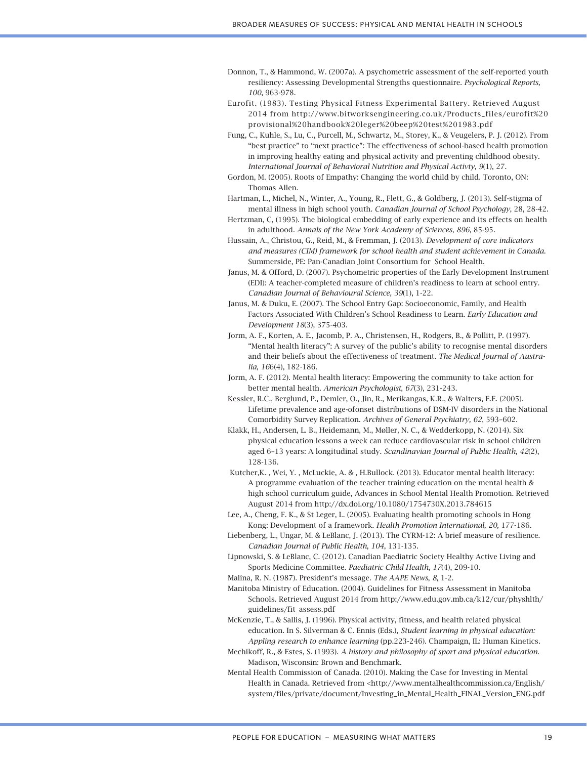- Donnon, T., & Hammond, W. (2007a). A psychometric assessment of the self-reported youth resiliency: Assessing Developmental Strengths questionnaire. *Psychological Reports, 100*, 963-978.
- Eurofit. (1983). Testing Physical Fitness Experimental Battery. Retrieved August 2014 from http://www.bitworksengineering.co.uk/Products\_files/eurofit%20 provisional%20handbook%20leger%20beep%20test%201983.pdf
- Fung, C., Kuhle, S., Lu, C., Purcell, M., Schwartz, M., Storey, K., & Veugelers, P. J. (2012). From "best practice" to "next practice": The effectiveness of school-based health promotion in improving healthy eating and physical activity and preventing childhood obesity. *International Journal of Behavioral Nutrition and Physical Activty*, *9*(1), 27.
- Gordon, M. (2005). Roots of Empathy: Changing the world child by child. Toronto, ON: Thomas Allen.
- Hartman, L., Michel, N., Winter, A., Young, R., Flett, G., & Goldberg, J. (2013). Self-stigma of mental illness in high school youth*. Canadian Journal of School Psychology*, 28, 28-42.
- Hertzman, C, (1995). The biological embedding of early experience and its effects on health in adulthood. *Annals of the New York Academy of Sciences*, *896*, 85-95.
- Hussain, A., Christou, G., Reid, M., & Fremman, J. (2013). *Development of core indicators and measures (CIM) framework for school health and student achievement in Canada*. Summerside, PE: Pan-Canadian Joint Consortium for School Health.
- Janus, M. & Offord, D. (2007). Psychometric properties of the Early Development Instrument (EDI): A teacher-completed measure of children's readiness to learn at school entry. *Canadian Journal of Behavioural Science, 39*(1), 1-22.
- Janus, M. & Duku, E. (2007). The School Entry Gap: Socioeconomic, Family, and Health Factors Associated With Children's School Readiness to Learn. *Early Education and Development 18*(3), 375-403.
- Jorm, A. F., Korten, A. E., Jacomb, P. A., Christensen, H., Rodgers, B., & Pollitt, P. (1997). "Mental health literacy": A survey of the public's ability to recognise mental disorders and their beliefs about the effectiveness of treatment*. The Medical Journal of Australia, 16*6(4), 182-186.
- Jorm, A. F. (2012). Mental health literacy: Empowering the community to take action for better mental health. *American Psychologist*, *67*(3), 231-243.
- Kessler, R.C., Berglund, P., Demler, O., Jin, R., Merikangas, K.R., & Walters, E.E. (2005). Lifetime prevalence and age-ofonset distributions of DSM-IV disorders in the National Comorbidity Survey Replication. *Archives of General Psychiatry, 62*, 593–602.
- Klakk, H., Andersen, L. B., Heidemann, M., Møller, N. C., & Wedderkopp, N. (2014). Six physical education lessons a week can reduce cardiovascular risk in school children aged 6–13 years: A longitudinal study. *Scandinavian Journal of Public Health*, *42*(2), 128-136.
- Kutcher,K. , Wei, Y. , McLuckie, A. & , H.Bullock. (2013). Educator mental health literacy: A programme evaluation of the teacher training education on the mental health & high school curriculum guide, Advances in School Mental Health Promotion. Retrieved August 2014 from http://dx.doi.org/10.1080/1754730X.2013.784615
- Lee, A., Cheng, F. K., & St Leger, L. (2005). Evaluating health promoting schools in Hong Kong: Development of a framework. *Health Promotion International, 20,* 177-186.
- Liebenberg, L., Ungar, M. & LeBlanc, J. (2013). The CYRM-12: A brief measure of resilience. *Canadian Journal of Public Health*, *104*, 131-135.
- Lipnowski, S. & LeBlanc, C. (2012). Canadian Paediatric Society Healthy Active Living and Sports Medicine Committee. *Paediatric Child Health*, *17*(4), 209-10.
- Malina, R. N. (1987). President's message. *The AAPE News*, *8*, 1-2.
- Manitoba Ministry of Education. (2004). Guidelines for Fitness Assessment in Manitoba Schools. Retrieved August 2014 from http://www.edu.gov.mb.ca/k12/cur/physhlth/ guidelines/fit\_assess.pdf
- McKenzie, T., & Sallis, J. (1996). Physical activity, fitness, and health related physical education. In S. Silverman & C. Ennis (Eds.), *Student learning in physical education: Appling research to enhance learning* (pp.223-246). Champaign, IL: Human Kinetics.
- Mechikoff, R., & Estes, S. (1993). *A history and philosophy of sport and physical education*. Madison, Wisconsin: Brown and Benchmark.
- Mental Health Commission of Canada. (2010). Making the Case for Investing in Mental Health in Canada. Retrieved from <http://www.mentalhealthcommission.ca/English/ system/files/private/document/Investing\_in\_Mental\_Health\_FINAL\_Version\_ENG.pdf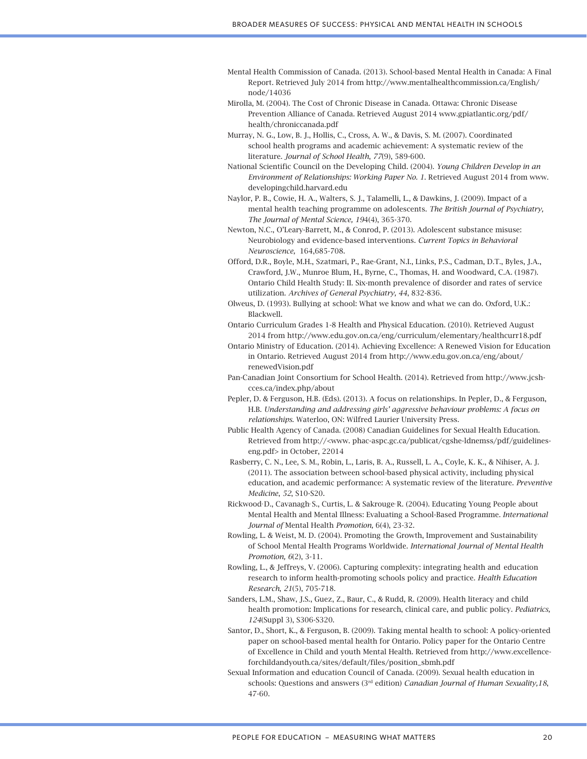- Mental Health Commission of Canada. (2013). School-based Mental Health in Canada: A Final Report. Retrieved July 2014 from http://www.mentalhealthcommission.ca/English/ node/14036
- Mirolla, M. (2004). The Cost of Chronic Disease in Canada. Ottawa: Chronic Disease Prevention Alliance of Canada. Retrieved August 2014 www.gpiatlantic.org/pdf/ health/chroniccanada.pdf
- Murray, N. G., Low, B. J., Hollis, C., Cross, A. W., & Davis, S. M. (2007). Coordinated school health programs and academic achievement: A systematic review of the literature. *Journal of School Health*, *77*(9), 589-600.
- National Scientific Council on the Developing Child. (2004). *Young Children Develop in an Environment of Relationships: Working Paper No. 1*. Retrieved August 2014 from www. developingchild.harvard.edu
- Naylor, P. B., Cowie, H. A., Walters, S. J., Talamelli, L., & Dawkins, J. (2009). Impact of a mental health teaching programme on adolescents*. The British Journal of Psychiatry, The Journal of Mental Science, 19*4(4), 365-370.
- Newton, N.C., O'Leary-Barrett, M., & Conrod, P. (2013). Adolescent substance misuse: Neurobiology and evidence-based interventions. *Current Topics in Behavioral Neuroscience,* 164,685-708.
- Offord, D.R., Boyle, M.H., Szatmari, P., Rae-Grant, N.I., Links, P.S., Cadman, D.T., Byles, J.A., Crawford, J.W., Munroe Blum, H., Byrne, C., Thomas, H. and Woodward, C.A. (1987). Ontario Child Health Study: II. Six-month prevalence of disorder and rates of service utilization. *Archives of General Psychiatry, 44*, 832-836.
- Olweus, D. (1993). Bullying at school: What we know and what we can do. Oxford, U.K.: Blackwell.
- Ontario Curriculum Grades 1-8 Health and Physical Education. (2010). Retrieved August 2014 from http://www.edu.gov.on.ca/eng/curriculum/elementary/healthcurr18.pdf
- Ontario Ministry of Education. (2014). Achieving Excellence: A Renewed Vision for Education in Ontario. Retrieved August 2014 from http://www.edu.gov.on.ca/eng/about/ renewedVision.pdf
- Pan-Canadian Joint Consortium for School Health. (2014). Retrieved from http://www.jcshcces.ca/index.php/about
- Pepler, D. & Ferguson, H.B. (Eds). (2013). A focus on relationships. In Pepler, D., & Ferguson, H.B. *Understanding and addressing girls' aggressive behaviour problems: A focus on relationships*. Waterloo, ON: Wilfred Laurier University Press.
- Public Health Agency of Canada. (2008) Canadian Guidelines for Sexual Health Education. Retrieved from http://<www. phac-aspc.gc.ca/publicat/cgshe-ldnemss/pdf/guidelineseng.pdf> in October, 22014
- Rasberry, C. N., Lee, S. M., Robin, L., Laris, B. A., Russell, L. A., Coyle, K. K., & Nihiser, A. J. (2011). The association between school-based physical activity, including physical education, and academic performance: A systematic review of the literature. *Preventive Medicine*, *52*, S10-S20.
- Rickwood, D., Cavanagh, S., Curtis, L. & Sakrouge, R. (2004). Educating Young People about Mental Health and Mental Illness: Evaluating a School-Based Programme. *International Journal of* Mental Health *Promotion,* 6(4), 23-32.
- Rowling, L. & Weist, M. D. (2004). Promoting the Growth, Improvement and Sustainability of School Mental Health Programs Worldwide. *International Journal of Mental Health Promotion, 6*(2), 3-11.
- Rowling, L., & Jeffreys, V. (2006). Capturing complexity: integrating health and education research to inform health-promoting schools policy and practice. *Health Education Research*, *21*(5), 705-718.
- Sanders, L.M., Shaw, J.S., Guez, Z., Baur, C., & Rudd, R. (2009). Health literacy and child health promotion: Implications for research, clinical care, and public policy. *Pediatrics, 124*(Suppl 3), S306-S320.
- Santor, D., Short, K., & Ferguson, B. (2009). Taking mental health to school: A policy-oriented paper on school-based mental health for Ontario. Policy paper for the Ontario Centre of Excellence in Child and youth Mental Health. Retrieved from http://www.excellenceforchildandyouth.ca/sites/default/files/position\_sbmh.pdf
- Sexual Information and education Council of Canada. (2009). Sexual health education in schools: Questions and answers (3rd edition) *Canadian Journal of Human Sexuality,18*, 47-60.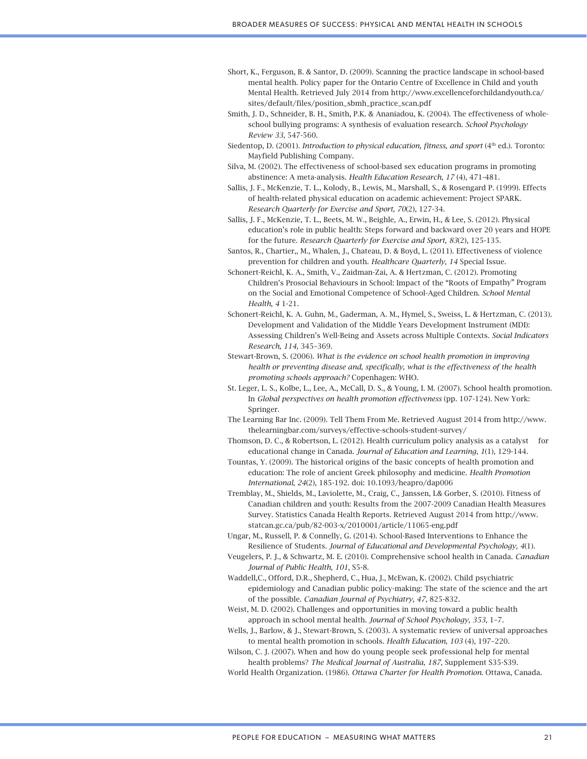- Short, K., Ferguson, B. & Santor, D. (2009). Scanning the practice landscape in school-based mental health. Policy paper for the Ontario Centre of Excellence in Child and youth Mental Health. Retrieved July 2014 from http://www.excellenceforchildandyouth.ca/ sites/default/files/position\_sbmh\_practice\_scan.pdf
- Smith, J. D., Schneider, B. H., Smith, P.K. & Ananiadou, K. (2004). The effectiveness of wholeschool bullying programs: A synthesis of evaluation research. *School Psychology Review 33*, 547-560.
- Siedentop, D. (2001). *Introduction to physical education, fitness, and sport* (4<sup>th</sup> ed.). Toronto: Mayfield Publishing Company.
- Silva, M. (2002). The effectiveness of school-based sex education programs in promoting abstinence: A meta-analysis. *Health Education Research, 17* (4), 471-481.
- Sallis, J. F., McKenzie, T. L., Kolody, B., Lewis, M., Marshall, S., & Rosengard P. (1999). Effects of health-related physical education on academic achievement: Project SPARK. *Research Quarterly for Exercise and Sport, 70*(2), 127-34.
- Sallis, J. F., McKenzie, T. L., Beets, M. W., Beighle, A., Erwin, H., & Lee, S. (2012). Physical education's role in public health: Steps forward and backward over 20 years and HOPE for the future. *Research Quarterly for Exercise and Sport*, *83*(2), 125-135.
- Santos, R., Chartier,, M., Whalen, J., Chateau, D. & Boyd, L. (2011). Effectiveness of violence prevention for children and youth. *Healthcare Quarterly*, *14* Special Issue.
- Schonert-Reichl, K. A., Smith, V., Zaidman-Zai, A. & Hertzman, C. (2012). Promoting Children's Prosocial Behaviours in School: Impact of the "Roots of Empathy" Program on the Social and Emotional Competence of School-Aged Children. *School Mental Health*, *4* 1-21.
- Schonert-Reichl, K. A. Guhn, M., Gaderman, A. M., Hymel, S., Sweiss, L. & Hertzman, C. (2013). Development and Validation of the Middle Years Development Instrument (MDI): Assessing Children's Well-Being and Assets across Multiple Contexts. *Social Indicators Research, 114,* 345–369.
- Stewart-Brown, S. (2006). *What is the evidence on school health promotion in improving health or preventing disease and, specifically, what is the effectiveness of the health promoting schools approach?* Copenhagen: WHO.
- St. Leger, L. S., Kolbe, L., Lee, A., McCall, D. S., & Young, I. M. (2007). School health promotion. In *Global perspectives on health promotion effectiveness* (pp. 107-124). New York: Springer.
- The Learning Bar Inc. (2009). Tell Them From Me. Retrieved August 2014 from http://www. thelearningbar.com/surveys/effective-schools-student-survey/
- Thomson, D. C., & Robertson, L. (2012). Health curriculum policy analysis as a catalyst for educational change in Canada. *Journal of Education and Learning*, *1*(1), 129-144.
- Tountas, Y. (2009). The historical origins of the basic concepts of health promotion and education: The role of ancient Greek philosophy and medicine. *Health Promotion International*, *24*(2), 185-192. doi: 10.1093/heapro/dap006
- Tremblay, M., Shields, M., Laviolette, M., Craig, C., Janssen, I.& Gorber, S. (2010). Fitness of Canadian children and youth: Results from the 2007-2009 Canadian Health Measures Survey. Statistics Canada Health Reports. Retrieved August 2014 from http://www. statcan.gc.ca/pub/82-003-x/2010001/article/11065-eng.pdf
- Ungar, M., Russell, P. & Connelly, G. (2014). School-Based Interventions to Enhance the Resilience of Students. *Journal of Educational and Developmental Psychology, 4*(1).
- Veugelers, P. J., & Schwartz, M. E. (2010). Comprehensive school health in Canada. *Canadian Journal of Public Health*, *101*, S5-8.
- Waddell,C., Offord, D.R., Shepherd, C., Hua, J., McEwan, K. (2002). Child psychiatric epidemiology and Canadian public policy-making: The state of the science and the art of the possible. *Canadian Journal of Psychiatry, 47*, 825-832.
- Weist, M. D. (2002). Challenges and opportunities in moving toward a public health approach in school mental health. *Journal of School Psychology, 353*, 1–7.
- Wells, J., Barlow, & J., Stewart-Brown, S. (2003). A systematic review of universal approaches to mental health promotion in schools. *Health Education, 103* (4), 197–220.
- Wilson, C. J. (2007). When and how do young people seek professional help for mental health problems? *The Medical Journal of Australia, 187*, Supplement S35-S39.
- World Health Organization. (1986). *Ottawa Charter for Health Promotion*. Ottawa, Canada.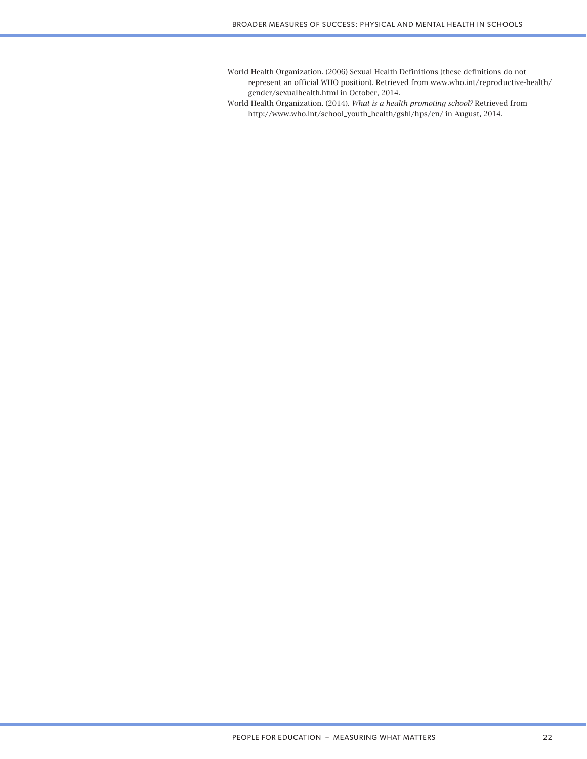World Health Organization. (2006) Sexual Health Definitions (these definitions do not represent an official WHO position). Retrieved from www.who.int/reproductive-health/ gender/sexualhealth.html in October, 2014.

World Health Organization. (2014). *What is a health promoting school?* Retrieved from http://www.who.int/school\_youth\_health/gshi/hps/en/ in August, 2014.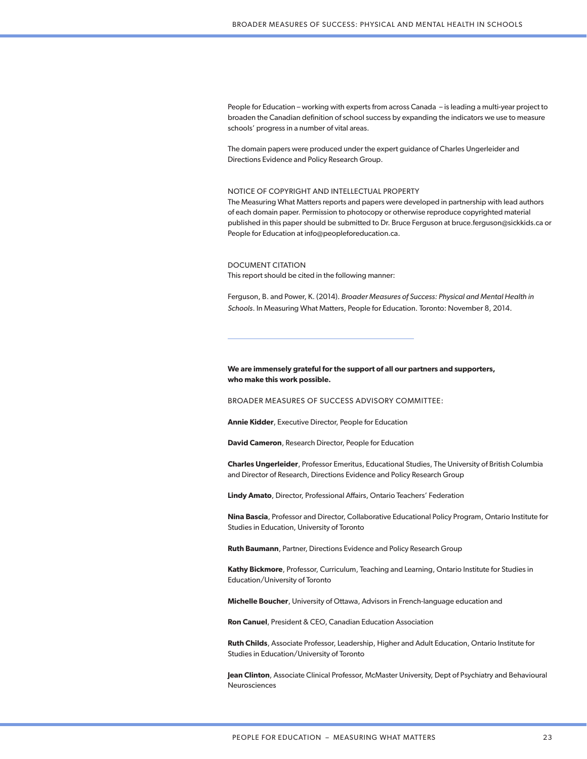People for Education – working with experts from across Canada – is leading a multi-year project to broaden the Canadian definition of school success by expanding the indicators we use to measure schools' progress in a number of vital areas.

The domain papers were produced under the expert guidance of Charles Ungerleider and Directions Evidence and Policy Research Group.

#### NOTICE OF COPYRIGHT AND INTELLECTUAL PROPERTY

The Measuring What Matters reports and papers were developed in partnership with lead authors of each domain paper. Permission to photocopy or otherwise reproduce copyrighted material published in this paper should be submitted to Dr. Bruce Ferguson at bruce.ferguson@sickkids.ca or People for Education at info@peopleforeducation.ca.

#### DOCUMENT CITATION

This report should be cited in the following manner:

Ferguson, B. and Power, K. (2014). *Broader Measures of Success: Physical and Mental Health in Schools*. In Measuring What Matters, People for Education. Toronto: November 8, 2014.

#### **We are immensely grateful for the support of all our partners and supporters, who make this work possible.**

BROADER MEASURES OF SUCCESS ADVISORY COMMITTEE:

**Annie Kidder**, Executive Director, People for Education

**David Cameron**, Research Director, People for Education

**Charles Ungerleider**, Professor Emeritus, Educational Studies, The University of British Columbia and Director of Research, Directions Evidence and Policy Research Group

**Lindy Amato**, Director, Professional Affairs, Ontario Teachers' Federation

**Nina Bascia**, Professor and Director, Collaborative Educational Policy Program, Ontario Institute for Studies in Education, University of Toronto

**Ruth Baumann**, Partner, Directions Evidence and Policy Research Group

**Kathy Bickmore**, Professor, Curriculum, Teaching and Learning, Ontario Institute for Studies in Education/University of Toronto

**Michelle Boucher**, University of Ottawa, Advisors in French-language education and

**Ron Canuel**, President & CEO, Canadian Education Association

**Ruth Childs**, Associate Professor, Leadership, Higher and Adult Education, Ontario Institute for Studies in Education/University of Toronto

**Jean Clinton**, Associate Clinical Professor, McMaster University, Dept of Psychiatry and Behavioural Neurosciences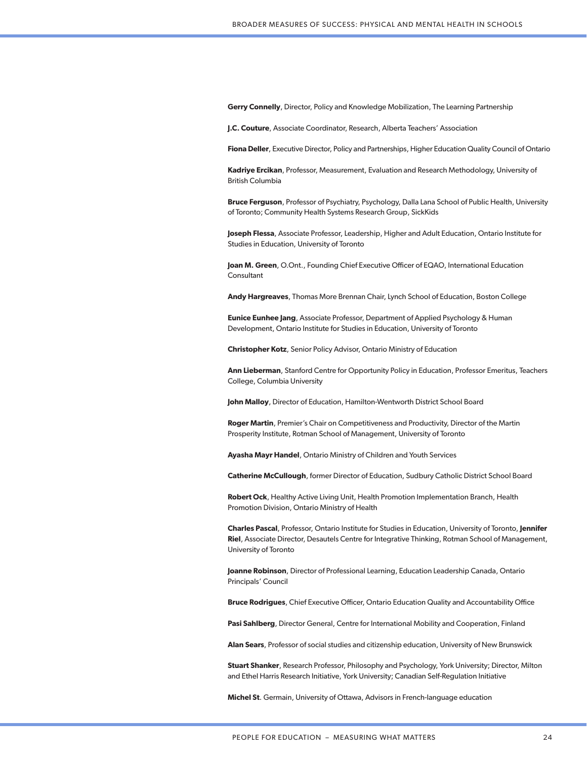**Gerry Connelly**, Director, Policy and Knowledge Mobilization, The Learning Partnership

**J.C. Couture**, Associate Coordinator, Research, Alberta Teachers' Association

**Fiona Deller**, Executive Director, Policy and Partnerships, Higher Education Quality Council of Ontario

**Kadriye Ercikan**, Professor, Measurement, Evaluation and Research Methodology, University of British Columbia

**Bruce Ferguson**, Professor of Psychiatry, Psychology, Dalla Lana School of Public Health, University of Toronto; Community Health Systems Research Group, SickKids

**Joseph Flessa**, Associate Professor, Leadership, Higher and Adult Education, Ontario Institute for Studies in Education, University of Toronto

**Joan M. Green**, O.Ont., Founding Chief Executive Officer of EQAO, International Education **Consultant** 

**Andy Hargreaves**, Thomas More Brennan Chair, Lynch School of Education, Boston College

**Eunice Eunhee Jang**, Associate Professor, Department of Applied Psychology & Human Development, Ontario Institute for Studies in Education, University of Toronto

**Christopher Kotz**, Senior Policy Advisor, Ontario Ministry of Education

**Ann Lieberman**, Stanford Centre for Opportunity Policy in Education, Professor Emeritus, Teachers College, Columbia University

**John Malloy**, Director of Education, Hamilton-Wentworth District School Board

**Roger Martin**, Premier's Chair on Competitiveness and Productivity, Director of the Martin Prosperity Institute, Rotman School of Management, University of Toronto

**Ayasha Mayr Handel**, Ontario Ministry of Children and Youth Services

**Catherine McCullough**, former Director of Education, Sudbury Catholic District School Board

**Robert Ock**, Healthy Active Living Unit, Health Promotion Implementation Branch, Health Promotion Division, Ontario Ministry of Health

**Charles Pascal**, Professor, Ontario Institute for Studies in Education, University of Toronto, **Jennifer Riel**, Associate Director, Desautels Centre for Integrative Thinking, Rotman School of Management, University of Toronto

**Joanne Robinson**, Director of Professional Learning, Education Leadership Canada, Ontario Principals' Council

**Bruce Rodrigues**, Chief Executive Officer, Ontario Education Quality and Accountability Office

**Pasi Sahlberg**, Director General, Centre for International Mobility and Cooperation, Finland

**Alan Sears**, Professor of social studies and citizenship education, University of New Brunswick

**Stuart Shanker**, Research Professor, Philosophy and Psychology, York University; Director, Milton and Ethel Harris Research Initiative, York University; Canadian Self-Regulation Initiative

**Michel St**. Germain, University of Ottawa, Advisors in French-language education